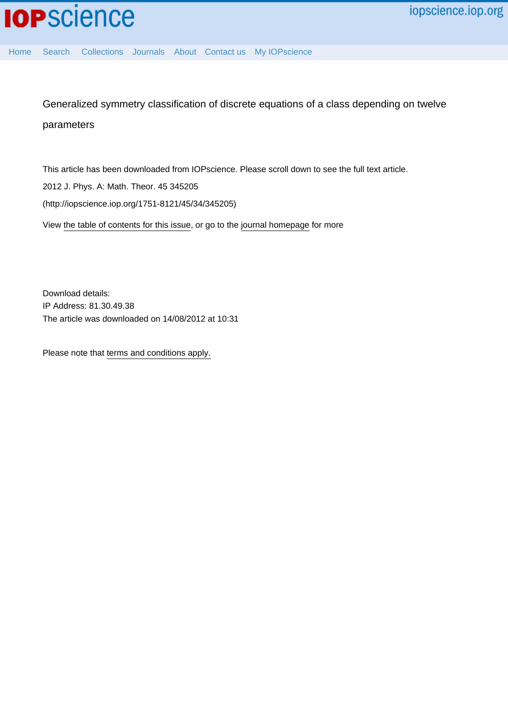[Home](http://iopscience.iop.org/) [Search](http://iopscience.iop.org/search) [Collections](http://iopscience.iop.org/collections) [Journals](http://iopscience.iop.org/journals) [About](http://iopscience.iop.org/page/aboutioppublishing) [Contact us](http://iopscience.iop.org/contact) [My IOPscience](http://iopscience.iop.org/myiopscience)

Generalized symmetry classification of discrete equations of a class depending on twelve parameters

This article has been downloaded from IOPscience. Please scroll down to see the full text article.

2012 J. Phys. A: Math. Theor. 45 345205

(http://iopscience.iop.org/1751-8121/45/34/345205)

View [the table of contents for this issue](http://iopscience.iop.org/1751-8121/45/34), or go to the [journal homepage](http://iopscience.iop.org/1751-8121) for more

Download details: IP Address: 81.30.49.38 The article was downloaded on 14/08/2012 at 10:31

Please note that [terms and conditions apply.](http://iopscience.iop.org/page/terms)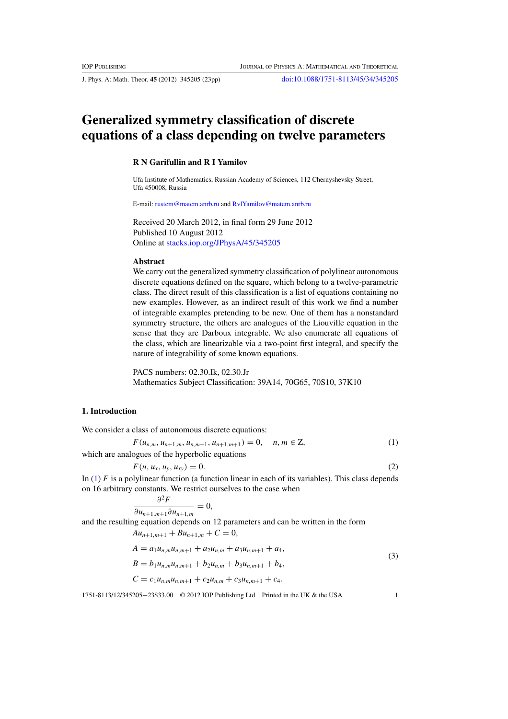<span id="page-1-0"></span>J. Phys. A: Math. Theor. **45** (2012) 345205 (23pp) [doi:10.1088/1751-8113/45/34/345205](http://dx.doi.org/10.1088/1751-8113/45/34/345205)

# **Generalized symmetry classification of discrete equations of a class depending on twelve parameters**

# **R N Garifullin and R I Yamilov**

Ufa Institute of Mathematics, Russian Academy of Sciences, 112 Chernyshevsky Street, Ufa 450008, Russia

E-mail: [rustem@matem.anrb.ru](mailto:rustem@matem.anrb.ru) and [RvlYamilov@matem.anrb.ru](mailto:RvlYamilov@matem.anrb.ru)

Received 20 March 2012, in final form 29 June 2012 Published 10 August 2012 Online at [stacks.iop.org/JPhysA/45/345205](http://stacks.iop.org/JPhysA/45/345205)

# **Abstract**

We carry out the generalized symmetry classification of polylinear autonomous discrete equations defined on the square, which belong to a twelve-parametric class. The direct result of this classification is a list of equations containing no new examples. However, as an indirect result of this work we find a number of integrable examples pretending to be new. One of them has a nonstandard symmetry structure, the others are analogues of the Liouville equation in the sense that they are Darboux integrable. We also enumerate all equations of the class, which are linearizable via a two-point first integral, and specify the nature of integrability of some known equations.

PACS numbers: 02.30.Ik, 02.30.Jr Mathematics Subject Classification: 39A14, 70G65, 70S10, 37K10

# **1. Introduction**

We consider a class of autonomous discrete equations:

$$
F(u_{n,m}, u_{n+1,m}, u_{n,m+1}, u_{n+1,m+1}) = 0, \quad n, m \in \mathbb{Z},
$$
\n(1)

which are analogues of the hyperbolic equations

$$
F(u, u_x, u_y, u_{xy}) = 0.
$$
 (2)

In (1) *F* is a polylinear function (a function linear in each of its variables). This class depends on 16 arbitrary constants. We restrict ourselves to the case when

$$
\frac{\partial^2 F}{\partial u_{n+1,m+1}\partial u_{n+1,m}} = 0,
$$

and the resulting equation depends on 12 parameters and can be written in the form  $Au_{n+1,m+1} + Bu_{n+1,m} + C = 0,$ 

$$
A = a_1 u_{n,m} u_{n,m+1} + a_2 u_{n,m} + a_3 u_{n,m+1} + a_4,
$$
  
\n
$$
B = b_1 u_{n,m} u_{n,m+1} + b_2 u_{n,m} + b_3 u_{n,m+1} + b_4,
$$
  
\n
$$
C = c_1 u_{n,m} u_{n,m+1} + c_2 u_{n,m} + c_3 u_{n,m+1} + c_4.
$$
\n(3)

1751-8113/12/345205+23\$33.00 © 2012 IOP Publishing Ltd Printed in the UK & the USA 1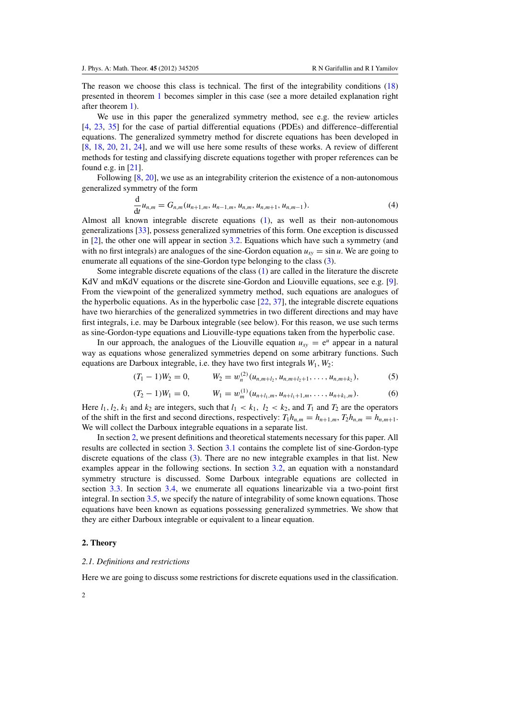<span id="page-2-0"></span>The reason we choose this class is technical. The first of the integrability conditions [\(18\)](#page-5-0) presented in theorem [1](#page-5-0) becomes simpler in this case (see a more detailed explanation right after theorem [1\)](#page-5-0).

We use in this paper the generalized symmetry method, see e.g. the review articles [\[4](#page-22-0), [23](#page-23-0), [35\]](#page-23-0) for the case of partial differential equations (PDEs) and difference–differential equations. The generalized symmetry method for discrete equations has been developed in [\[8](#page-22-0), [18,](#page-23-0) [20](#page-23-0), [21,](#page-23-0) [24](#page-23-0)], and we will use here some results of these works. A review of different methods for testing and classifying discrete equations together with proper references can be found e.g. in [\[21](#page-23-0)].

Following  $[8, 20]$  $[8, 20]$  $[8, 20]$  $[8, 20]$ , we use as an integrability criterion the existence of a non-autonomous generalized symmetry of the form

$$
\frac{\mathrm{d}}{\mathrm{d}t}u_{n,m}=G_{n,m}(u_{n+1,m},u_{n-1,m},u_{n,m},u_{n,m+1},u_{n,m-1}).\tag{4}
$$

Almost all known integrable discrete equations [\(1\)](#page-1-0), as well as their non-autonomous generalizations [\[33\]](#page-23-0), possess generalized symmetries of this form. One exception is discussed in [\[2\]](#page-22-0), the other one will appear in section [3.2.](#page-11-0) Equations which have such a symmetry (and with no first integrals) are analogues of the sine-Gordon equation  $u_{xy} = \sin u$ . We are going to enumerate all equations of the sine-Gordon type belonging to the class [\(3\)](#page-1-0).

Some integrable discrete equations of the class [\(1\)](#page-1-0) are called in the literature the discrete KdV and mKdV equations or the discrete sine-Gordon and Liouville equations, see e.g. [\[9\]](#page-22-0). From the viewpoint of the generalized symmetry method, such equations are analogues of the hyperbolic equations. As in the hyperbolic case  $[22, 37]$  $[22, 37]$  $[22, 37]$ , the integrable discrete equations have two hierarchies of the generalized symmetries in two different directions and may have first integrals, i.e. may be Darboux integrable (see below). For this reason, we use such terms as sine-Gordon-type equations and Liouville-type equations taken from the hyperbolic case.

In our approach, the analogues of the Liouville equation  $u_{xy} = e^u$  appear in a natural way as equations whose generalized symmetries depend on some arbitrary functions. Such equations are Darboux integrable, i.e. they have two first integrals *W*1,*W*2:

$$
(T_1 - 1)W_2 = 0, \qquad W_2 = w_n^{(2)}(u_{n,m+l_2}, u_{n,m+l_2+1}, \dots, u_{n,m+k_2}), \qquad (5)
$$

$$
(T_2 - 1)W_1 = 0, \qquad W_1 = w_m^{(1)}(u_{n+l_1,m}, u_{n+l_1+1,m}, \dots, u_{n+k_1,m}). \tag{6}
$$

Here  $l_1$ ,  $l_2$ ,  $k_1$  and  $k_2$  are integers, such that  $l_1 < k_1$ ,  $l_2 < k_2$ , and  $T_1$  and  $T_2$  are the operators of the shift in the first and second directions, respectively:  $T_1 h_{n,m} = h_{n+1,m}, T_2 h_{n,m} = h_{n,m+1}.$ We will collect the Darboux integrable equations in a separate list.

In section 2, we present definitions and theoretical statements necessary for this paper. All results are collected in section [3.](#page-8-0) Section [3.1](#page-8-0) contains the complete list of sine-Gordon-type discrete equations of the class [\(3\)](#page-1-0). There are no new integrable examples in that list. New examples appear in the following sections. In section [3.2,](#page-11-0) an equation with a nonstandard symmetry structure is discussed. Some Darboux integrable equations are collected in section [3.3.](#page-12-0) In section [3.4,](#page-16-0) we enumerate all equations linearizable via a two-point first integral. In section [3.5,](#page-20-0) we specify the nature of integrability of some known equations. Those equations have been known as equations possessing generalized symmetries. We show that they are either Darboux integrable or equivalent to a linear equation.

# **2. Theory**

#### *2.1. Definitions and restrictions*

Here we are going to discuss some restrictions for discrete equations used in the classification.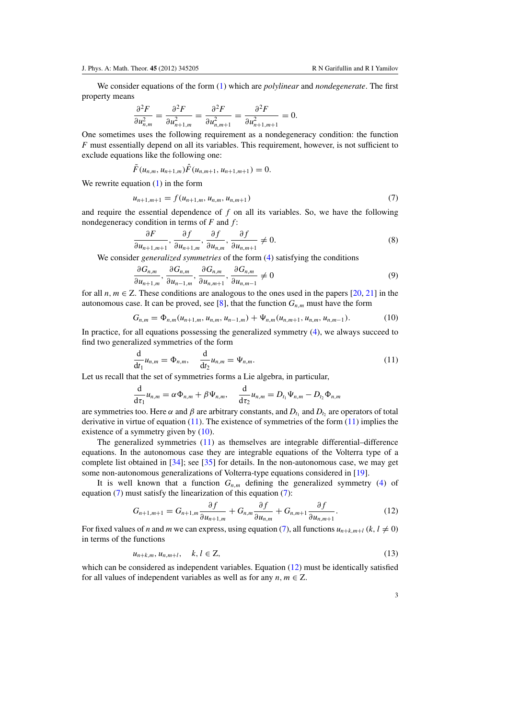<span id="page-3-0"></span>We consider equations of the form [\(1\)](#page-1-0) which are *polylinear* and *nondegenerate*. The first property means

$$
\frac{\partial^2 F}{\partial u_{n,m}^2} = \frac{\partial^2 F}{\partial u_{n+1,m}^2} = \frac{\partial^2 F}{\partial u_{n,m+1}^2} = \frac{\partial^2 F}{\partial u_{n+1,m+1}^2} = 0.
$$

One sometimes uses the following requirement as a nondegeneracy condition: the function *F* must essentially depend on all its variables. This requirement, however, is not sufficient to exclude equations like the following one:

$$
\tilde{F}(u_{n,m},u_{n+1,m})\hat{F}(u_{n,m+1},u_{n+1,m+1})=0.
$$

We rewrite equation  $(1)$  in the form

$$
u_{n+1,m+1} = f(u_{n+1,m}, u_{n,m}, u_{n,m+1})
$$
\n(7)

and require the essential dependence of *f* on all its variables. So, we have the following nondegeneracy condition in terms of *F* and *f* :

$$
\frac{\partial F}{\partial u_{n+1,m+1}}, \frac{\partial f}{\partial u_{n+1,m}}, \frac{\partial f}{\partial u_{n,m}}, \frac{\partial f}{\partial u_{n,m+1}} \neq 0.
$$
 (8)

We consider *generalized symmetries* of the form [\(4\)](#page-2-0) satisfying the conditions

$$
\frac{\partial G_{n,m}}{\partial u_{n+1,m}}, \frac{\partial G_{n,m}}{\partial u_{n-1,m}}, \frac{\partial G_{n,m}}{\partial u_{n,m+1}}, \frac{\partial G_{n,m}}{\partial u_{n,m-1}} \neq 0
$$
\n
$$
(9)
$$

for all  $n, m \in \mathbb{Z}$ . These conditions are analogous to the ones used in the papers [\[20](#page-23-0), [21](#page-23-0)] in the autonomous case. It can be proved, see [\[8\]](#page-22-0), that the function  $G_{n,m}$  must have the form

$$
G_{n,m} = \Phi_{n,m}(u_{n+1,m}, u_{n,m}, u_{n-1,m}) + \Psi_{n,m}(u_{n,m+1}, u_{n,m}, u_{n,m-1}).
$$
\n(10)

In practice, for all equations possessing the generalized symmetry [\(4\)](#page-2-0), we always succeed to find two generalized symmetries of the form

$$
\frac{\mathrm{d}}{\mathrm{d}t_1}u_{n,m}=\Phi_{n,m},\quad \frac{\mathrm{d}}{\mathrm{d}t_2}u_{n,m}=\Psi_{n,m}.\tag{11}
$$

Let us recall that the set of symmetries forms a Lie algebra, in particular,

$$
\frac{\mathrm{d}}{\mathrm{d}\tau_1}u_{n,m}=\alpha\Phi_{n,m}+\beta\Psi_{n,m},\quad \frac{\mathrm{d}}{\mathrm{d}\tau_2}u_{n,m}=D_{t_1}\Psi_{n,m}-D_{t_2}\Phi_{n,m}
$$

are symmetries too. Here  $\alpha$  and  $\beta$  are arbitrary constants, and  $D_{t_1}$  and  $D_{t_2}$  are operators of total derivative in virtue of equation  $(11)$ . The existence of symmetries of the form  $(11)$  implies the existence of a symmetry given by  $(10)$ .

The generalized symmetries (11) as themselves are integrable differential–difference equations. In the autonomous case they are integrable equations of the Volterra type of a complete list obtained in [\[34](#page-23-0)]; see [\[35](#page-23-0)] for details. In the non-autonomous case, we may get some non-autonomous generalizations of Volterra-type equations considered in [\[19](#page-23-0)].

It is well known that a function  $G_{n,m}$  defining the generalized symmetry [\(4\)](#page-2-0) of equation  $(7)$  must satisfy the linearization of this equation  $(7)$ :

$$
G_{n+1,m+1} = G_{n+1,m} \frac{\partial f}{\partial u_{n+1,m}} + G_{n,m} \frac{\partial f}{\partial u_{n,m}} + G_{n,m+1} \frac{\partial f}{\partial u_{n,m+1}}.
$$
 (12)

For fixed values of *n* and *m* we can express, using equation (7), all functions  $u_{n+k,m+1}(k, l \neq 0)$ in terms of the functions

$$
u_{n+k,m}, u_{n,m+l}, \quad k, l \in \mathbb{Z}, \tag{13}
$$

which can be considered as independent variables. Equation  $(12)$  must be identically satisfied for all values of independent variables as well as for any  $n, m \in \mathbb{Z}$ .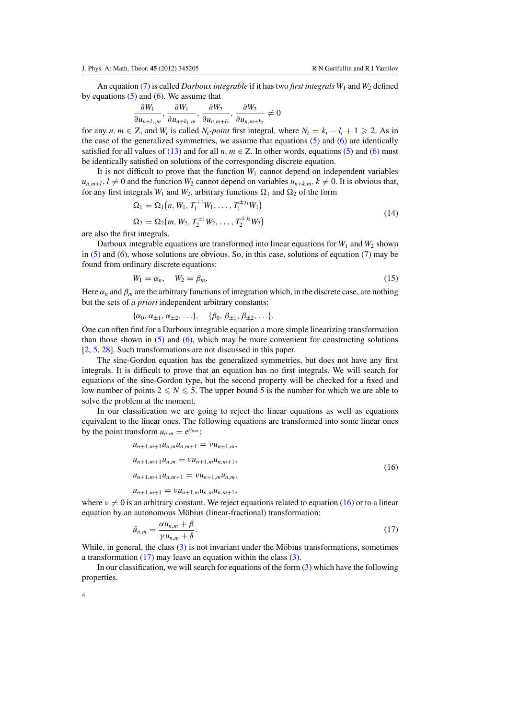<span id="page-4-0"></span>An equation [\(7\)](#page-3-0) is called *Darboux integrable* if it has two *first integrals*  $W_1$  and  $W_2$  defined by equations  $(5)$  and  $(6)$ . We assume that

$$
\frac{\partial W_1}{\partial u_{n+l_1,m}}, \frac{\partial W_1}{\partial u_{n+k_1,m}}, \frac{\partial W_2}{\partial u_{n,m+l_2}}, \frac{\partial W_2}{\partial u_{n,m+k_2}} \neq 0
$$

for any *n*,  $m \in \mathbb{Z}$ , and  $W_i$  is called  $N_i$ -point first integral, where  $N_i = k_i - l_i + 1 \geq 2$ . As in the case of the generalized symmetries, we assume that equations  $(5)$  and  $(6)$  are identically satisfied for all values of [\(13\)](#page-3-0) and for all  $n, m \in \mathbb{Z}$ . In other words, equations [\(5\)](#page-2-0) and [\(6\)](#page-2-0) must be identically satisfied on solutions of the corresponding discrete equation.

It is not difficult to prove that the function  $W_1$  cannot depend on independent variables  $u_{n,m+l}$ ,  $l \neq 0$  and the function  $W_2$  cannot depend on variables  $u_{n+k,m}$ ,  $k \neq 0$ . It is obvious that, for any first integrals  $W_1$  and  $W_2$ , arbitrary functions  $\Omega_1$  and  $\Omega_2$  of the form

$$
\Omega_1 = \Omega_1(n, W_1, T_1^{\pm 1} W_1, \dots, T_1^{\pm j_1} W_1)
$$
  
\n
$$
\Omega_2 = \Omega_2(m, W_2, T_2^{\pm 1} W_2, \dots, T_2^{\pm j_2} W_2)
$$
\n(14)

are also the first integrals.

Darboux integrable equations are transformed into linear equations for  $W_1$  and  $W_2$  shown in [\(5\)](#page-2-0) and [\(6\)](#page-2-0), whose solutions are obvious. So, in this case, solutions of equation [\(7\)](#page-3-0) may be found from ordinary discrete equations:

$$
W_1 = \alpha_n, \quad W_2 = \beta_m. \tag{15}
$$

Here  $\alpha_n$  and  $\beta_m$  are the arbitrary functions of integration which, in the discrete case, are nothing but the sets of *a priori* independent arbitrary constants:

$$
\{\alpha_0, \alpha_{\pm 1}, \alpha_{\pm 2}, \ldots\}, \{\beta_0, \beta_{\pm 1}, \beta_{\pm 2}, \ldots\}.
$$

One can often find for a Darboux integrable equation a more simple linearizing transformation than those shown in  $(5)$  and  $(6)$ , which may be more convenient for constructing solutions [\[2](#page-22-0), [5](#page-22-0), [28](#page-23-0)]. Such transformations are not discussed in this paper.

The sine-Gordon equation has the generalized symmetries, but does not have any first integrals. It is difficult to prove that an equation has no first integrals. We will search for equations of the sine-Gordon type, but the second property will be checked for a fixed and low number of points  $2 \leq N \leq 5$ . The upper bound 5 is the number for which we are able to solve the problem at the moment.

In our classification we are going to reject the linear equations as well as equations equivalent to the linear ones. The following equations are transformed into some linear ones by the point transform  $u_{n,m} = e^{v_{n,m}}$ .

$$
u_{n+1,m+1}u_{n,m}u_{n,m+1} = \nu u_{n+1,m},
$$
  
\n
$$
u_{n+1,m+1}u_{n,m} = \nu u_{n+1,m}u_{n,m+1},
$$
  
\n
$$
u_{n+1,m+1}u_{n,m+1} = \nu u_{n+1,m}u_{n,m},
$$
\n(16)

 $u_{n+1,m+1} = v u_{n+1,m} u_{n,m} u_{n,m+1}$ 

where  $v \neq 0$  is an arbitrary constant. We reject equations related to equation (16) or to a linear equation by an autonomous Möbius (linear-fractional) transformation:

$$
\hat{u}_{n,m} = \frac{\alpha u_{n,m} + \beta}{\gamma u_{n,m} + \delta}.
$$
\n(17)

While, in general, the class  $(3)$  is not invariant under the Möbius transformations, sometimes a transformation (17) may leave an equation within the class [\(3\)](#page-1-0).

In our classification, we will search for equations of the form [\(3\)](#page-1-0) which have the following properties.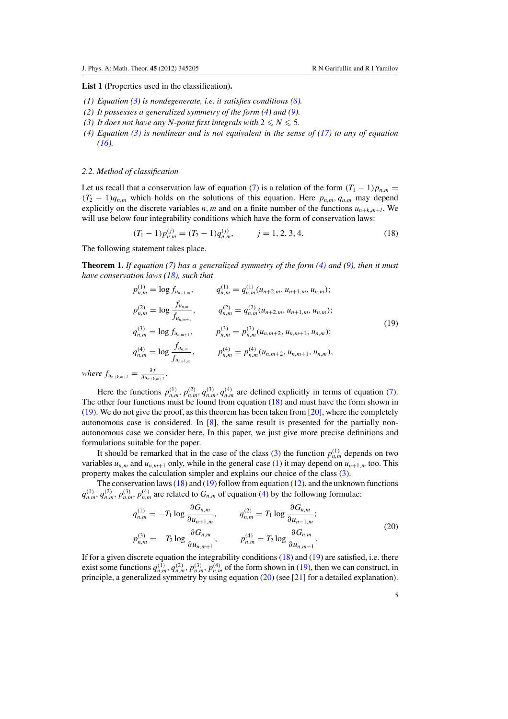<span id="page-5-0"></span>**List 1** (Properties used in the classification)**.**

- *(1) Equation [\(3\)](#page-1-0) is nondegenerate, i.e. it satisfies conditions [\(8\)](#page-3-0).*
- *(2) It possesses a generalized symmetry of the form [\(4\)](#page-2-0) and [\(9\)](#page-3-0).*
- *(3) It does not have any N-point first integrals with*  $2 \leq N \leq 5$ *.*
- *(4) Equation [\(3\)](#page-1-0) is nonlinear and is not equivalent in the sense of [\(17\)](#page-4-0) to any of equation [\(16\)](#page-4-0).*

# *2.2. Method of classification*

Let us recall that a conservation law of equation [\(7\)](#page-3-0) is a relation of the form  $(T_1 - 1)p_{n,m}$  $(T_2 - 1)q_{n,m}$  which holds on the solutions of this equation. Here  $p_{n,m}, q_{n,m}$  may depend explicitly on the discrete variables *n*, *m* and on a finite number of the functions  $u_{n+k,m+l}$ . We will use below four integrability conditions which have the form of conservation laws:

$$
(T_1 - 1)p_{n,m}^{(j)} = (T_2 - 1)q_{n,m}^{(j)}, \qquad j = 1, 2, 3, 4.
$$
 (18)

The following statement takes place.

*where*  $f_{u_{n+k,m+l}}$ 

**Theorem 1.** *If equation [\(7\)](#page-3-0) has a generalized symmetry of the form [\(4\)](#page-2-0) and [\(9\)](#page-3-0), then it must have conservation laws (18), such that*

$$
p_{n,m}^{(1)} = \log f_{u_{n+1,m}}, \qquad q_{n,m}^{(1)} = q_{n,m}^{(1)} (u_{n+2,m}, u_{n+1,m}, u_{n,m});
$$
  
\n
$$
p_{n,m}^{(2)} = \log \frac{f_{u_{n,m}}}{f_{u_{n,m+1}}}, \qquad q_{n,m}^{(2)} = q_{n,m}^{(2)} (u_{n+2,m}, u_{n+1,m}, u_{n,m});
$$
  
\n
$$
q_{n,m}^{(3)} = \log f_{u_{n,m+1}}, \qquad p_{n,m}^{(3)} = p_{n,m}^{(3)} (u_{n,m+2}, u_{n,m+1}, u_{n,m});
$$
  
\n
$$
q_{n,m}^{(4)} = \log \frac{f_{u_{n,m}}}{f_{u_{n+1,m}}}, \qquad p_{n,m}^{(4)} = p_{n,m}^{(4)} (u_{n,m+2}, u_{n,m+1}, u_{n,m}),
$$
  
\n
$$
= \frac{\partial f}{\partial u_{n+km+1}}.
$$
  
\n(19)

Here the functions  $p_{n,m}^{(1)}$ ,  $p_{n,m}^{(2)}$ ,  $q_{n,m}^{(3)}$ ,  $q_{n,m}^{(4)}$  are defined explicitly in terms of equation [\(7\)](#page-3-0). The other four functions must be found from equation (18) and must have the form shown in  $(19)$ . We do not give the proof, as this theorem has been taken from [\[20\]](#page-23-0), where the completely autonomous case is considered. In [\[8](#page-22-0)], the same result is presented for the partially nonautonomous case we consider here. In this paper, we just give more precise definitions and formulations suitable for the paper.

It should be remarked that in the case of the class [\(3\)](#page-1-0) the function  $p_{nm}^{(1)}$  depends on two variables  $u_{n,m}$  and  $u_{n,m+1}$  only, while in the general case [\(1\)](#page-1-0) it may depend on  $u_{n+1,m}$  too. This property makes the calculation simpler and explains our choice of the class [\(3\)](#page-1-0).

The conservation laws  $(18)$  and  $(19)$  follow from equation  $(12)$ , and the unknown functions  $q_{n,m}^{(1)}$ ,  $q_{n,m}^{(2)}$ ,  $p_{n,m}^{(3)}$ ,  $p_{n,m}^{(4)}$  $p_{n,m}^{(4)}$  $p_{n,m}^{(4)}$  are related to  $G_{n,m}$  of equation (4) by the following formulae:

$$
q_{n,m}^{(1)} = -T_1 \log \frac{\partial G_{n,m}}{\partial u_{n+1,m}}, \qquad q_{n,m}^{(2)} = T_1 \log \frac{\partial G_{n,m}}{\partial u_{n-1,m}};
$$
  

$$
p_{n,m}^{(3)} = -T_2 \log \frac{\partial G_{n,m}}{\partial u_{n,m+1}}, \qquad p_{n,m}^{(4)} = T_2 \log \frac{\partial G_{n,m}}{\partial u_{n,m-1}}.
$$
  
(20)

If for a given discrete equation the integrability conditions (18) and (19) are satisfied, i.e. there exist some functions  $q_{n,m}^{(1)}$ ,  $q_{n,m}^{(2)}$ ,  $p_{n,m}^{(3)}$ ,  $p_{n,m}^{(4)}$  of the form shown in (19), then we can construct, in principle, a generalized symmetry by using equation (20) (see [\[21\]](#page-23-0) for a detailed explanation).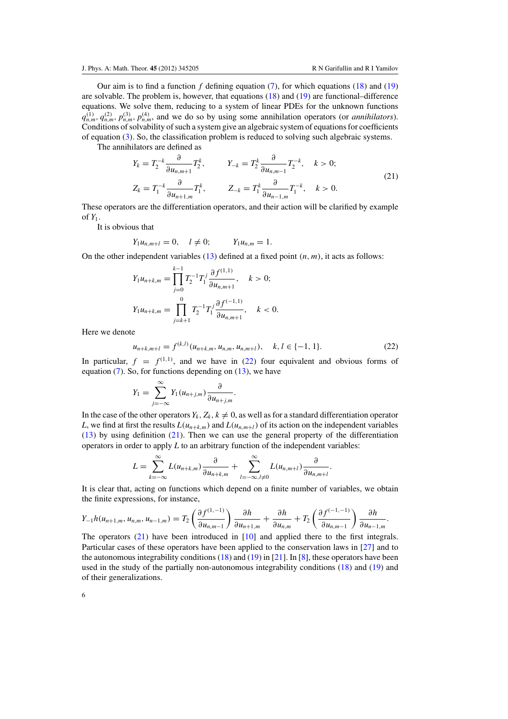.

<span id="page-6-0"></span>Our aim is to find a function *f* defining equation [\(7\)](#page-3-0), for which equations [\(18\)](#page-5-0) and [\(19\)](#page-5-0) are solvable. The problem is, however, that equations [\(18\)](#page-5-0) and [\(19\)](#page-5-0) are functional–difference equations. We solve them, reducing to a system of linear PDEs for the unknown functions  $q_{nm}^{(1)}$ ,  $q_{nm}^{(2)}$ ,  $p_{nm}^{(3)}$ ,  $p_{nm}^{(4)}$ , and we do so by using some annihilation operators (or *annihilators*). Conditions of solvability of such a system give an algebraic system of equations for coefficients of equation [\(3\)](#page-1-0). So, the classification problem is reduced to solving such algebraic systems.

The annihilators are defined as

$$
Y_{k} = T_{2}^{-k} \frac{\partial}{\partial u_{n,m+1}} T_{2}^{k}, \qquad Y_{-k} = T_{2}^{k} \frac{\partial}{\partial u_{n,m-1}} T_{2}^{-k}, \quad k > 0;
$$
  
\n
$$
Z_{k} = T_{1}^{-k} \frac{\partial}{\partial u_{n+1,m}} T_{1}^{k}, \qquad Z_{-k} = T_{1}^{k} \frac{\partial}{\partial u_{n-1,m}} T_{1}^{-k}, \quad k > 0.
$$
\n(21)

These operators are the differentiation operators, and their action will be clarified by example of  $Y_1$ .

It is obvious that

$$
Y_1u_{n,m+l} = 0, \quad l \neq 0;
$$
  $Y_1u_{n,m} = 1.$ 

On the other independent variables  $(13)$  defined at a fixed point  $(n, m)$ , it acts as follows:

$$
Y_1 u_{n+k,m} = \prod_{j=0}^{k-1} T_2^{-1} T_1^j \frac{\partial f^{(1,1)}}{\partial u_{n,m+1}}, \quad k > 0;
$$
  

$$
Y_1 u_{n+k,m} = \prod_{j=k+1}^0 T_2^{-1} T_1^j \frac{\partial f^{(-1,1)}}{\partial u_{n,m+1}}, \quad k < 0.
$$

Here we denote

$$
u_{n+k,m+l} = f^{(k,l)}(u_{n+k,m}, u_{n,m}, u_{n,m+l}), \quad k, l \in \{-1, 1\}.
$$
 (22)

In particular,  $f = f^{(1,1)}$ , and we have in (22) four equivalent and obvious forms of equation  $(7)$ . So, for functions depending on  $(13)$ , we have

$$
Y_1 = \sum_{j=-\infty}^{\infty} Y_1(u_{n+j,m}) \frac{\partial}{\partial u_{n+j,m}}.
$$

In the case of the other operators  $Y_k$ ,  $Z_k$ ,  $k \neq 0$ , as well as for a standard differentiation operator *L*, we find at first the results  $L(u_{n+k,m})$  and  $L(u_{n,m+1})$  of its action on the independent variables [\(13\)](#page-3-0) by using definition (21). Then we can use the general property of the differentiation operators in order to apply *L* to an arbitrary function of the independent variables:

$$
L = \sum_{k=-\infty}^{\infty} L(u_{n+k,m}) \frac{\partial}{\partial u_{n+k,m}} + \sum_{l=-\infty, l \neq 0}^{\infty} L(u_{n,m+l}) \frac{\partial}{\partial u_{n,m+l}}.
$$

It is clear that, acting on functions which depend on a finite number of variables, we obtain the finite expressions, for instance,

$$
Y_{-1}h(u_{n+1,m}, u_{n,m}, u_{n-1,m}) = T_2 \left( \frac{\partial f^{(1,-1)}}{\partial u_{n,m-1}} \right) \frac{\partial h}{\partial u_{n+1,m}} + \frac{\partial h}{\partial u_{n,m}} + T_2 \left( \frac{\partial f^{(-1,-1)}}{\partial u_{n,m-1}} \right) \frac{\partial h}{\partial u_{n-1,m}}
$$

The operators (21) have been introduced in [\[10\]](#page-22-0) and applied there to the first integrals. Particular cases of these operators have been applied to the conservation laws in [\[27](#page-23-0)] and to the autonomous integrability conditions  $(18)$  and  $(19)$  in  $[21]$ . In  $[8]$ , these operators have been used in the study of the partially non-autonomous integrability conditions [\(18\)](#page-5-0) and [\(19\)](#page-5-0) and of their generalizations.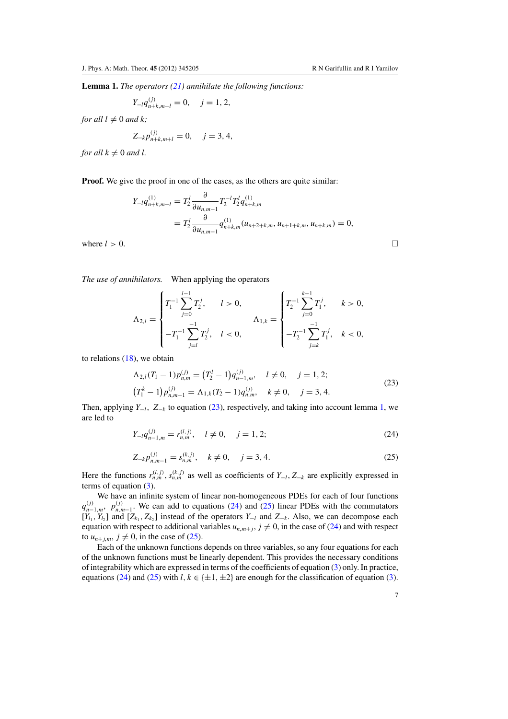<span id="page-7-0"></span>**Lemma 1.** *The operators [\(21\)](#page-6-0) annihilate the following functions:*

$$
Y_{-l}q_{n+k,m+l}^{(j)}=0, \quad j=1,2,
$$

*for all*  $l \neq 0$  *and*  $k$ ;

$$
Z_{-k}p_{n+k,m+l}^{(j)} = 0, \quad j = 3, 4,
$$

*for all*  $k \neq 0$  *and l*.

**Proof.** We give the proof in one of the cases, as the others are quite similar:

$$
Y_{-l}q_{n+k,m+l}^{(1)} = T_2^l \frac{\partial}{\partial u_{n,m-1}} T_2^{-l} T_2^l q_{n+k,m}^{(1)}
$$
  
= 
$$
T_2^l \frac{\partial}{\partial u_{n,m-1}} q_{n+k,m}^{(1)} (u_{n+2+k,m}, u_{n+1+k,m}, u_{n+k,m}) = 0,
$$
  
where  $l > 0$ .

*The use of annihilators.* When applying the operators

$$
\Lambda_{2,l} = \begin{cases} T_1^{-1} \sum_{j=0}^{l-1} T_2^j, & l > 0, \\ -T_1^{-1} \sum_{j=l}^{-1} T_2^j, & l < 0, \end{cases} \qquad \Lambda_{1,k} = \begin{cases} T_2^{-1} \sum_{j=0}^{k-1} T_1^j, & k > 0, \\ -T_2^{-1} \sum_{j=k}^{-1} T_1^j, & k < 0, \end{cases}
$$

to relations [\(18\)](#page-5-0), we obtain

$$
\begin{aligned}\n\Lambda_{2,l}(T_1 - 1)p_{n,m}^{(j)} &= \left(T_2^l - 1\right) q_{n-1,m}^{(j)}, \quad l \neq 0, \quad j = 1, 2; \\
(T_1^k - 1)p_{n,m-1}^{(j)} &= \Lambda_{1,k}(T_2 - 1) q_{n,m}^{(j)}, \quad k \neq 0, \quad j = 3, 4.\n\end{aligned} \tag{23}
$$

Then, applying *Y*−*l*, *Z*−*<sup>k</sup>* to equation (23), respectively, and taking into account lemma 1, we are led to

$$
Y_{-l}q_{n-1,m}^{(j)} = r_{n,m}^{(l,j)}, \quad l \neq 0, \quad j = 1, 2; \tag{24}
$$

$$
Z_{-k}p_{n,m-1}^{(j)} = s_{n,m}^{(k,j)}, \quad k \neq 0, \quad j = 3, 4.
$$
 (25)

Here the functions  $r_{n,m}^{(l,j)}$ ,  $s_{n,m}^{(k,j)}$  as well as coefficients of  $Y_{-l}$ ,  $Z_{-k}$  are explicitly expressed in terms of equation [\(3\)](#page-1-0).

We have an infinite system of linear non-homogeneous PDEs for each of four functions  $q_{n-1,m}^{(j)}$ ,  $p_{n,m-1}^{(j)}$ . We can add to equations (24) and (25) linear PDEs with the commutators  $[Y_l, Y_{l_2}]$  and  $[Z_{k_1}, Z_{k_2}]$  instead of the operators  $Y_{-l}$  and  $Z_{-k}$ . Also, we can decompose each equation with respect to additional variables  $u_{n,m+j}$ ,  $j \neq 0$ , in the case of (24) and with respect to  $u_{n+j,m}$ ,  $j \neq 0$ , in the case of (25).

Each of the unknown functions depends on three variables, so any four equations for each of the unknown functions must be linearly dependent. This provides the necessary conditions of integrability which are expressed in terms of the coefficients of equation [\(3\)](#page-1-0) only. In practice, equations (24) and (25) with  $l, k \in \{\pm 1, \pm 2\}$  are enough for the classification of equation [\(3\)](#page-1-0).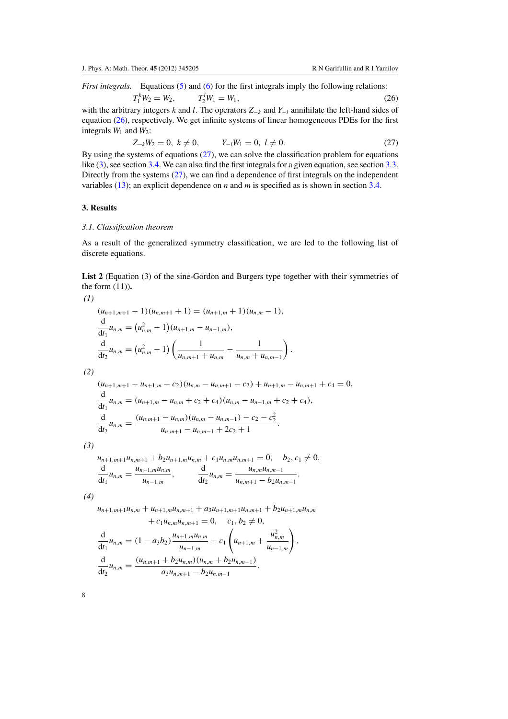<span id="page-8-0"></span>*First integrals.* Equations [\(5\)](#page-2-0) and [\(6\)](#page-2-0) for the first integrals imply the following relations:

 $T_1^k W_2 = W_2,$   $T_2^l$  $T_2^l W_1 = W_1,$  (26) with the arbitrary integers *k* and *l*. The operators *Z*<sup>−</sup>*<sup>k</sup>* and *Y*<sup>−</sup>*<sup>l</sup>* annihilate the left-hand sides of

equation (26), respectively. We get infinite systems of linear homogeneous PDEs for the first integrals  $W_1$  and  $W_2$ :

$$
Z_{-k}W_2 = 0, \ k \neq 0, \qquad Y_{-l}W_1 = 0, \ l \neq 0. \tag{27}
$$

By using the systems of equations  $(27)$ , we can solve the classification problem for equations like [\(3\)](#page-1-0), see section [3.4.](#page-16-0) We can also find the first integrals for a given equation, see section [3.3.](#page-12-0) Directly from the systems (27), we can find a dependence of first integrals on the independent variables [\(13\)](#page-3-0); an explicit dependence on *n* and *m* is specified as is shown in section [3.4.](#page-16-0)

# **3. Results**

#### *3.1. Classification theorem*

As a result of the generalized symmetry classification, we are led to the following list of discrete equations.

**List 2** (Equation (3) of the sine-Gordon and Burgers type together with their symmetries of the form (11))**.**

(1)  
\n
$$
(u_{n+1,m+1}-1)(u_{n,m+1}+1) = (u_{n+1,m}+1)(u_{n,m}-1),
$$
\n
$$
\frac{d}{dt_1}u_{n,m} = (u_{n,m}^2-1)(u_{n+1,m}-u_{n-1,m}),
$$
\n
$$
\frac{d}{dt_2}u_{n,m} = (u_{n,m}^2-1)\left(\frac{1}{u_{n,m+1}+u_{n,m}}-\frac{1}{u_{n,m}+u_{n,m-1}}\right).
$$
\n(2)  
\n
$$
(u_{n+1,m+1}-u_{n+1,m}+c_2)(u_{n,m}-u_{n,m+1}-c_2)+u_{n+1,m}-u_{n,m+1}+c_4=0,
$$
\n
$$
\frac{d}{dt_1}u_{n,m} = (u_{n+1,m}-u_{n,m}+c_2+c_4)(u_{n,m}-u_{n-1,m}+c_2+c_4),
$$
\n
$$
\frac{d}{dt_2}u_{n,m} = \frac{(u_{n,m+1}-u_{n,m})(u_{n,m}-u_{n,m-1})-c_2-c_2^2}{u_{n,m+1}-u_{n,m-1}+2c_2+1}.
$$
\n(3)

 $u_{n+1,m+1}u_{n,m+1} + b_2u_{n+1,m}u_{n,m} + c_1u_{n,m}u_{n,m+1} = 0, \quad b_2, c_1 \neq 0,$ d  $\frac{d}{dt_1} u_{n,m} = \frac{u_{n+1,m} u_{n,m}}{u_{n-1,m}},$   $\frac{d}{dt_2} u_{n,m} = \frac{u_{n,m} u_{n,m-1}}{u_{n,m+1} - b_2 u_{n,m-1}}.$ 

*(4)*

 $u_{n+1,m+1}u_{n,m} + u_{n+1,m}u_{n,m+1} + a_3u_{n+1,m+1}u_{n,m+1} + b_2u_{n+1,m}u_{n,m}$  $+c_1u_{n,m}u_{n,m+1}=0, \quad c_1, b_2 \neq 0,$ 

,

$$
\frac{d}{dt_1}u_{n,m} = (1 - a_3b_2) \frac{u_{n+1,m}u_{n,m}}{u_{n-1,m}} + c_1 \left(u_{n+1,m} + \frac{u_{n,m}^2}{u_{n-1,m}}\right)
$$
  

$$
\frac{d}{dt_2}u_{n,m} = \frac{(u_{n,m+1} + b_2u_{n,m})(u_{n,m} + b_2u_{n,m-1})}{a_3u_{n,m+1} - b_2u_{n,m-1}}.
$$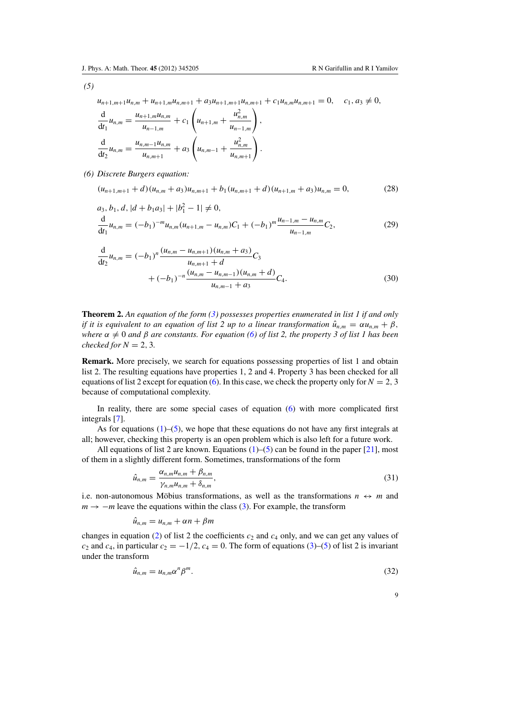<span id="page-9-0"></span>*(5)*

 $u_{n+1,m+1}u_{n,m} + u_{n+1,m}u_{n,m+1} + a_3u_{n+1,m+1}u_{n,m+1} + c_1u_{n,m}u_{n,m+1} = 0$ ,  $c_1, a_3 \neq 0$ , d  $\frac{d}{dt_1} u_{n,m} = \frac{u_{n+1,m} u_{n,m}}{u_{n-1,m}} + c_1$  $\left(u_{n+1,m} + \frac{u_{n,m}^2}{u_{n,m}^2}\right)$ *un*<sup>−</sup>1,*<sup>m</sup>*  $\overline{ }$ ,

$$
\frac{d}{dt_2}u_{n,m} = \frac{u_{n,m-1}u_{n,m}}{u_{n,m+1}} + a_3 \left(u_{n,m-1} + \frac{u_{n,m}^2}{u_{n,m+1}}\right)
$$

*(6) Discrete Burgers equation:*

$$
(u_{n+1,m+1} + d)(u_{n,m} + a_3)u_{n,m+1} + b_1(u_{n,m+1} + d)(u_{n+1,m} + a_3)u_{n,m} = 0,
$$
\n(28)

.

$$
a_3, b_1, d, |d + b_1 a_3| + |b_1^2 - 1| \neq 0,
$$
  
\n
$$
\frac{d}{dt_1} u_{n,m} = (-b_1)^{-m} u_{n,m} (u_{n+1,m} - u_{n,m}) C_1 + (-b_1)^m \frac{u_{n-1,m} - u_{n,m}}{u_{n-1,m}} C_2,
$$
\n(29)

$$
\frac{d}{dt_2}u_{n,m} = (-b_1)^n \frac{(u_{n,m} - u_{n,m+1})(u_{n,m} + a_3)}{u_{n,m+1} + d} C_3 + (-b_1)^{-n} \frac{(u_{n,m} - u_{n,m-1})(u_{n,m} + d)}{u_{n,m-1} + a_3} C_4.
$$
\n(30)

**Theorem 2.** *An equation of the form [\(3\)](#page-1-0) possesses properties enumerated in list 1 if and only if it is equivalent to an equation of list 2 up to a linear transformation*  $\hat{u}_{n,m} = \alpha u_{n,m} + \beta$ , *where*  $\alpha \neq 0$  *and*  $\beta$  *are constants. For equation* [\(6\)](#page-2-0) *of list* 2, the property 3 of list 1 has been *checked for*  $N = 2, 3$ *.* 

**Remark.** More precisely, we search for equations possessing properties of list 1 and obtain list 2. The resulting equations have properties 1, 2 and 4. Property 3 has been checked for all equations of list 2 except for equation [\(6\)](#page-2-0). In this case, we check the property only for  $N = 2, 3$ because of computational complexity.

In reality, there are some special cases of equation [\(6\)](#page-2-0) with more complicated first integrals [\[7\]](#page-22-0).

As for equations  $(1)$ –[\(5\)](#page-2-0), we hope that these equations do not have any first integrals at all; however, checking this property is an open problem which is also left for a future work.

All equations of list 2 are known. Equations  $(1)$ – $(5)$  can be found in the paper [\[21\]](#page-23-0), most of them in a slightly different form. Sometimes, transformations of the form

$$
\hat{u}_{n,m} = \frac{\alpha_{n,m} u_{n,m} + \beta_{n,m}}{\gamma_{n,m} u_{n,m} + \delta_{n,m}},
$$
\n(31)

i.e. non-autonomous Möbius transformations, as well as the transformations  $n \leftrightarrow m$  and  $m \rightarrow -m$  leave the equations within the class [\(3\)](#page-1-0). For example, the transform

$$
\hat{u}_{n,m} = u_{n,m} + \alpha n + \beta m
$$

changes in equation [\(2\)](#page-1-0) of list 2 the coefficients  $c_2$  and  $c_4$  only, and we can get any values of *c*<sub>2</sub> and *c*<sub>4</sub>, in particular  $c_2 = -1/2$ ,  $c_4 = 0$ . The form of equations [\(3\)](#page-1-0)–[\(5\)](#page-2-0) of list 2 is invariant under the transform

$$
\hat{u}_{n,m} = u_{n,m} \alpha^n \beta^m. \tag{32}
$$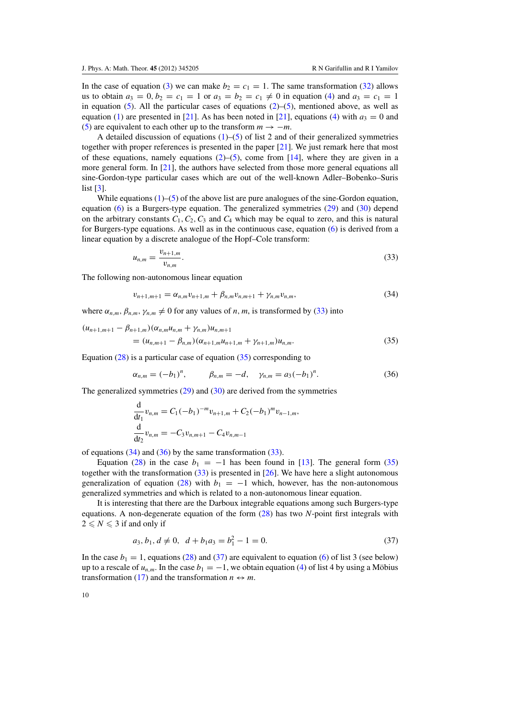In the case of equation [\(3\)](#page-1-0) we can make  $b_2 = c_1 = 1$ . The same transformation [\(32\)](#page-9-0) allows us to obtain  $a_3 = 0, b_2 = c_1 = 1$  or  $a_3 = b_2 = c_1 \neq 0$  in equation [\(4\)](#page-2-0) and  $a_3 = c_1 = 1$ in equation [\(5\)](#page-2-0). All the particular cases of equations  $(2)$ –(5), mentioned above, as well as equation [\(1\)](#page-1-0) are presented in [\[21](#page-23-0)]. As has been noted in [\[21\]](#page-23-0), equations [\(4\)](#page-2-0) with  $a_3 = 0$  and [\(5\)](#page-2-0) are equivalent to each other up to the transform  $m \rightarrow -m$ .

A detailed discussion of equations  $(1)$ –[\(5\)](#page-2-0) of list 2 and of their generalized symmetries together with proper references is presented in the paper [\[21\]](#page-23-0). We just remark here that most of these equations, namely equations  $(2)$ –[\(5\)](#page-2-0), come from [\[14\]](#page-22-0), where they are given in a more general form. In [\[21\]](#page-23-0), the authors have selected from those more general equations all sine-Gordon-type particular cases which are out of the well-known Adler–Bobenko–Suris list [\[3\]](#page-22-0).

While equations  $(1)$ –[\(5\)](#page-2-0) of the above list are pure analogues of the sine-Gordon equation, equation [\(6\)](#page-2-0) is a Burgers-type equation. The generalized symmetries [\(29\)](#page-9-0) and [\(30\)](#page-9-0) depend on the arbitrary constants  $C_1$ ,  $C_2$ ,  $C_3$  and  $C_4$  which may be equal to zero, and this is natural for Burgers-type equations. As well as in the continuous case, equation [\(6\)](#page-2-0) is derived from a linear equation by a discrete analogue of the Hopf–Cole transform:

$$
u_{n,m} = \frac{v_{n+1,m}}{v_{n,m}}.\t(33)
$$

The following non-autonomous linear equation

$$
v_{n+1,m+1} = \alpha_{n,m} v_{n+1,m} + \beta_{n,m} v_{n,m+1} + \gamma_{n,m} v_{n,m},
$$
\n(34)

where  $\alpha_{n,m}, \beta_{n,m}, \gamma_{n,m} \neq 0$  for any values of *n*, *m*, is transformed by (33) into

 $(u_{n+1,m+1} - \beta_{n+1,m})(\alpha_{n,m}u_{n,m} + \gamma_{n,m})u_{n,m+1}$  $=(u_{n,m+1} - \beta_{n,m})(\alpha_{n+1,m}u_{n+1,m} + \gamma_{n+1,m})u_{n,m}.$  (35)

Equation  $(28)$  is a particular case of equation  $(35)$  corresponding to

$$
\alpha_{n,m} = (-b_1)^n, \qquad \beta_{n,m} = -d, \quad \gamma_{n,m} = a_3(-b_1)^n. \tag{36}
$$

The generalized symmetries [\(29\)](#page-9-0) and [\(30\)](#page-9-0) are derived from the symmetries

$$
\frac{d}{dt_1}v_{n,m} = C_1(-b_1)^{-m}v_{n+1,m} + C_2(-b_1)^m v_{n-1,m},
$$
  
\n
$$
\frac{d}{dt_2}v_{n,m} = -C_3v_{n,m+1} - C_4v_{n,m-1}
$$

of equations  $(34)$  and  $(36)$  by the same transformation  $(33)$ .

Equation [\(28\)](#page-9-0) in the case  $b_1 = -1$  has been found in [\[13\]](#page-22-0). The general form (35) together with the transformation  $(33)$  is presented in [\[26\]](#page-23-0). We have here a slight autonomous generalization of equation [\(28\)](#page-9-0) with  $b_1 = -1$  which, however, has the non-autonomous generalized symmetries and which is related to a non-autonomous linear equation.

It is interesting that there are the Darboux integrable equations among such Burgers-type equations. A non-degenerate equation of the form [\(28\)](#page-9-0) has two *N*-point first integrals with  $2 \leq N \leq 3$  if and only if

$$
a_3, b_1, d \neq 0, d + b_1 a_3 = b_1^2 - 1 = 0.
$$
\n
$$
(37)
$$

In the case  $b_1 = 1$ , equations [\(28\)](#page-9-0) and (37) are equivalent to equation [\(6\)](#page-2-0) of list 3 (see below) up to a rescale of  $u_{n,m}$ . In the case  $b_1 = -1$ , we obtain equation [\(4\)](#page-2-0) of list 4 by using a Möbius transformation [\(17\)](#page-4-0) and the transformation  $n \leftrightarrow m$ .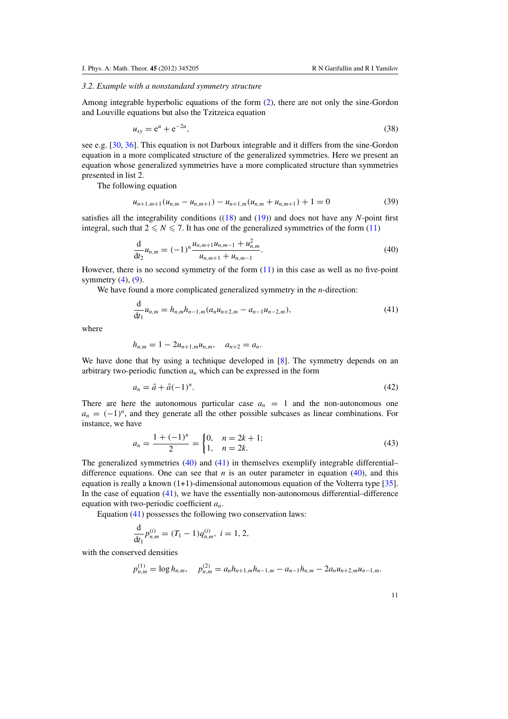# <span id="page-11-0"></span>*3.2. Example with a nonstandard symmetry structure*

Among integrable hyperbolic equations of the form [\(2\)](#page-1-0), there are not only the sine-Gordon and Louville equations but also the Tzitzeica equation

$$
u_{xy} = e^u + e^{-2u},
$$
\t(38)

see e.g. [\[30,](#page-23-0) [36\]](#page-23-0). This equation is not Darboux integrable and it differs from the sine-Gordon equation in a more complicated structure of the generalized symmetries. Here we present an equation whose generalized symmetries have a more complicated structure than symmetries presented in list 2.

The following equation

$$
u_{n+1,m+1}(u_{n,m}-u_{n,m+1})-u_{n+1,m}(u_{n,m}+u_{n,m+1})+1=0
$$
\n(39)

satisfies all the integrability conditions ([\(18\)](#page-5-0) and [\(19\)](#page-5-0)) and does not have any *N*-point first integral, such that  $2 \leq N \leq 7$ . It has one of the generalized symmetries of the form [\(11\)](#page-3-0)

$$
\frac{\mathrm{d}}{\mathrm{d}t_2}u_{n,m}=(-1)^n\frac{u_{n,m+1}u_{n,m-1}+u_{n,m}^2}{u_{n,m+1}+u_{n,m-1}}.\tag{40}
$$

However, there is no second symmetry of the form [\(11\)](#page-3-0) in this case as well as no five-point symmetry  $(4)$ ,  $(9)$ .

We have found a more complicated generalized symmetry in the *n*-direction:

$$
\frac{\mathrm{d}}{\mathrm{d}t_1}u_{n,m}=h_{n,m}h_{n-1,m}(a_nu_{n+2,m}-a_{n-1}u_{n-2,m}),\tag{41}
$$

where

$$
h_{n,m}=1-2u_{n+1,m}u_{n,m}, \quad a_{n+2}=a_n.
$$

We have done that by using a technique developed in [\[8](#page-22-0)]. The symmetry depends on an arbitrary two-periodic function  $a_n$  which can be expressed in the form

$$
a_n = \tilde{a} + \hat{a}(-1)^n. \tag{42}
$$

There are here the autonomous particular case  $a_n = 1$  and the non-autonomous one  $a_n = (-1)^n$ , and they generate all the other possible subcases as linear combinations. For instance, we have

$$
a_n = \frac{1 + (-1)^n}{2} = \begin{cases} 0, & n = 2k + 1; \\ 1, & n = 2k. \end{cases} \tag{43}
$$

The generalized symmetries (40) and (41) in themselves exemplify integrable differential– difference equations. One can see that  $n$  is an outer parameter in equation (40), and this equation is really a known  $(1+1)$ -dimensional autonomous equation of the Volterra type [\[35\]](#page-23-0). In the case of equation  $(41)$ , we have the essentially non-autonomous differential–difference equation with two-periodic coefficient *an*.

Equation (41) possesses the following two conservation laws:

$$
\frac{\mathrm{d}}{\mathrm{d}t_1}p_{n,m}^{(i)}=(T_1-1)q_{n,m}^{(i)}, i=1,2,
$$

with the conserved densities

$$
p_{n,m}^{(1)} = \log h_{n,m}, \quad p_{n,m}^{(2)} = a_n h_{n+1,m} h_{n-1,m} - a_{n-1} h_{n,m} - 2 a_n u_{n+2,m} u_{n-1,m}.
$$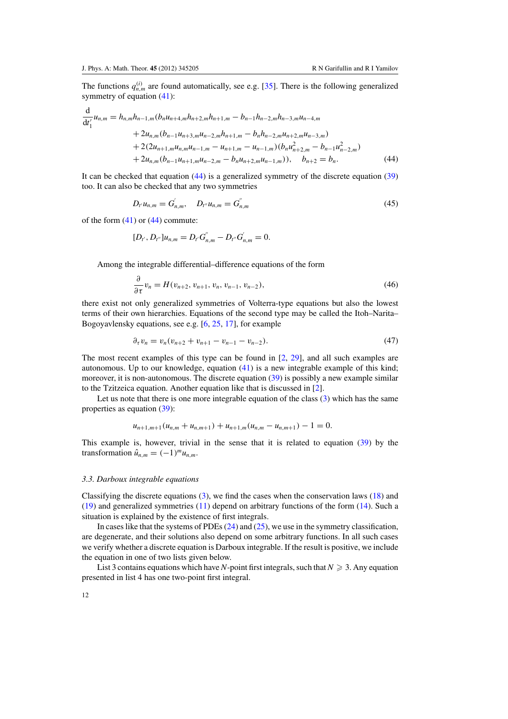<span id="page-12-0"></span>The functions  $q_{n,m}^{(i)}$  are found automatically, see e.g. [\[35\]](#page-23-0). There is the following generalized symmetry of equation [\(41\)](#page-11-0):

$$
\frac{d}{dt'_1}u_{n,m} = h_{n,m}h_{n-1,m}(b_nu_{n+4,m}h_{n+2,m}h_{n+1,m} - b_{n-1}h_{n-2,m}h_{n-3,m}u_{n-4,m}+ 2u_{n,m}(b_{n-1}u_{n+3,m}u_{n-2,m}h_{n+1,m} - b_nh_{n-2,m}u_{n+2,m}u_{n-3,m})+ 2(2u_{n+1,m}u_{n,m}u_{n-1,m} - u_{n+1,m} - u_{n-1,m})(b_nu_{n+2,m}^2 - b_{n-1}u_{n-2,m}^2)+ 2u_{n,m}(b_{n-1}u_{n+1,m}u_{n-2,m} - b_nu_{n+2,m}u_{n-1,m})), \quad b_{n+2} = b_n.
$$
\n(44)

It can be checked that equation (44) is a generalized symmetry of the discrete equation [\(39\)](#page-11-0) too. It can also be checked that any two symmetries

$$
D_{t'}u_{n,m} = G'_{n,m}, \quad D_{t''}u_{n,m} = G''_{n,m}
$$
\n(45)

of the form  $(41)$  or  $(44)$  commute:

$$
[D_{t'}, D_{t''}]u_{n,m} = D_{t'}G_{n,m}^{''} - D_{t''}G_{n,m}^{'} = 0.
$$

Among the integrable differential–difference equations of the form

$$
\frac{\partial}{\partial \tau} v_n = H(v_{n+2}, v_{n+1}, v_n, v_{n-1}, v_{n-2}),
$$
\n(46)

there exist not only generalized symmetries of Volterra-type equations but also the lowest terms of their own hierarchies. Equations of the second type may be called the Itoh–Narita– Bogoyavlensky equations, see e.g. [\[6,](#page-22-0) [25](#page-23-0), [17](#page-23-0)], for example

$$
\partial_{\tau} v_n = v_n (v_{n+2} + v_{n+1} - v_{n-1} - v_{n-2}). \tag{47}
$$

The most recent examples of this type can be found in  $[2, 29]$  $[2, 29]$  $[2, 29]$ , and all such examples are autonomous. Up to our knowledge, equation [\(41\)](#page-11-0) is a new integrable example of this kind; moreover, it is non-autonomous. The discrete equation [\(39\)](#page-11-0) is possibly a new example similar to the Tzitzeica equation. Another equation like that is discussed in [\[2](#page-22-0)].

Let us note that there is one more integrable equation of the class [\(3\)](#page-1-0) which has the same properties as equation [\(39\)](#page-11-0):

$$
u_{n+1,m+1}(u_{n,m}+u_{n,m+1})+u_{n+1,m}(u_{n,m}-u_{n,m+1})-1=0.
$$

This example is, however, trivial in the sense that it is related to equation [\(39\)](#page-11-0) by the transformation  $\hat{u}_{n,m} = (-1)^m u_{n,m}$ .

# *3.3. Darboux integrable equations*

Classifying the discrete equations  $(3)$ , we find the cases when the conservation laws  $(18)$  and [\(19\)](#page-5-0) and generalized symmetries [\(11\)](#page-3-0) depend on arbitrary functions of the form [\(14\)](#page-4-0). Such a situation is explained by the existence of first integrals.

In cases like that the systems of PDEs [\(24\)](#page-7-0) and [\(25\)](#page-7-0), we use in the symmetry classification, are degenerate, and their solutions also depend on some arbitrary functions. In all such cases we verify whether a discrete equation is Darboux integrable. If the result is positive, we include the equation in one of two lists given below.

List 3 contains equations which have *N*-point first integrals, such that  $N\geqslant 3.$  Any equation presented in list 4 has one two-point first integral.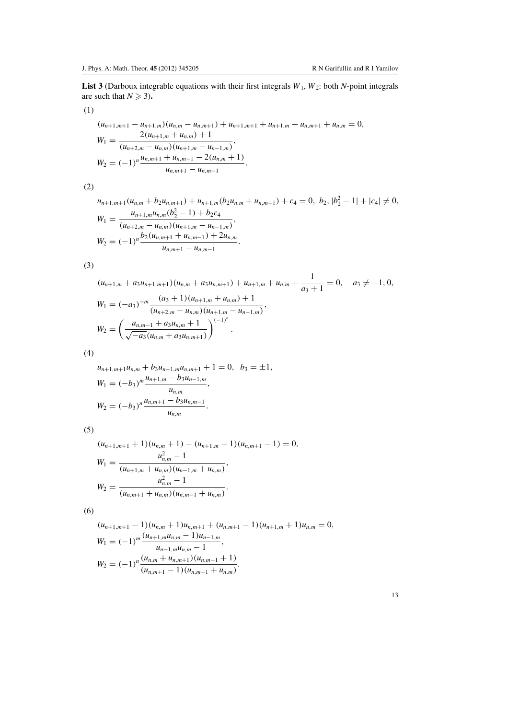**List 3** (Darboux integrable equations with their first integrals  $W_1$ ,  $W_2$ : both  $N$ -point integrals are such that  $N \ge 3$ ).

(1)

$$
(u_{n+1,m+1} - u_{n+1,m})(u_{n,m} - u_{n,m+1}) + u_{n+1,m+1} + u_{n+1,m} + u_{n,m+1} + u_{n,m} = 0,
$$
  
\n
$$
W_1 = \frac{2(u_{n+1,m} + u_{n,m}) + 1}{(u_{n+2,m} - u_{n,m})(u_{n+1,m} - u_{n-1,m})},
$$
  
\n
$$
W_2 = (-1)^n \frac{u_{n,m+1} + u_{n,m-1} - 2(u_{n,m} + 1)}{u_{n,m+1} - u_{n,m-1}}.
$$

(2)

 $u_{n+1,m+1}(u_{n,m} + b_2u_{n,m+1}) + u_{n+1,m}(b_2u_{n,m} + u_{n,m+1}) + c_4 = 0, b_2, |b_2^2 - 1| + |c_4| \neq 0,$  $W_1 = \frac{u_{n+1,m}u_{n,m}(b_2^2-1)+b_2c_4}{(a_1-a_2)(a_2-a_1)}$  $\frac{u_{n+1,m}u_{n,m}(0)}{(u_{n+2,m}-u_{n,m})(u_{n+1,m}-u_{n-1,m})},$ 

$$
(u_{n+2,m} - u_{n,m})(u_{n+1,m} - u_{n-1,m})
$$
  

$$
W_2 = (-1)^n \frac{b_2(u_{n,m+1} + u_{n,m-1}) + 2u_{n,m}}{u_{n,m+1} - u_{n,m-1}}.
$$

(3)

$$
(u_{n+1,m} + a_3u_{n+1,m+1})(u_{n,m} + a_3u_{n,m+1}) + u_{n+1,m} + u_{n,m} + \frac{1}{a_3 + 1} = 0, \quad a_3 \neq -1, 0,
$$
  
\n
$$
W_1 = (-a_3)^{-m} \frac{(a_3 + 1)(u_{n+1,m} + u_{n,m}) + 1}{(u_{n+2,m} - u_{n,m})(u_{n+1,m} - u_{n-1,m})},
$$
  
\n
$$
W_2 = \left(\frac{u_{n,m-1} + a_3u_{n,m} + 1}{\sqrt{-a_3}(u_{n,m} + a_3u_{n,m+1})}\right)^{(-1)^n}.
$$

(4)

$$
u_{n+1,m+1}u_{n,m} + b_3u_{n+1,m}u_{n,m+1} + 1 = 0, b_3 = \pm 1,
$$
  
\n
$$
W_1 = (-b_3)^m \frac{u_{n+1,m} - b_3u_{n-1,m}}{u_{n,m}},
$$
  
\n
$$
W_2 = (-b_3)^n \frac{u_{n,m+1} - b_3u_{n,m-1}}{u_{n,m}}.
$$

(5)

$$
(u_{n+1,m+1} + 1)(u_{n,m} + 1) - (u_{n+1,m} - 1)(u_{n,m+1} - 1) = 0,
$$
  
\n
$$
W_1 = \frac{u_{n,m}^2 - 1}{(u_{n+1,m} + u_{n,m})(u_{n-1,m} + u_{n,m})},
$$
  
\n
$$
W_2 = \frac{u_{n,m}^2 - 1}{(u_{n,m+1} + u_{n,m})(u_{n,m-1} + u_{n,m})}.
$$

(6)

$$
(u_{n+1,m+1} - 1)(u_{n,m} + 1)u_{n,m+1} + (u_{n,m+1} - 1)(u_{n+1,m} + 1)u_{n,m} = 0,
$$
  
\n
$$
W_1 = (-1)^m \frac{(u_{n+1,m}u_{n,m} - 1)u_{n-1,m}}{u_{n-1,m}u_{n,m} - 1},
$$
  
\n
$$
W_2 = (-1)^n \frac{(u_{n,m} + u_{n,m+1})(u_{n,m-1} + 1)}{(u_{n,m+1} - 1)(u_{n,m-1} + u_{n,m})}.
$$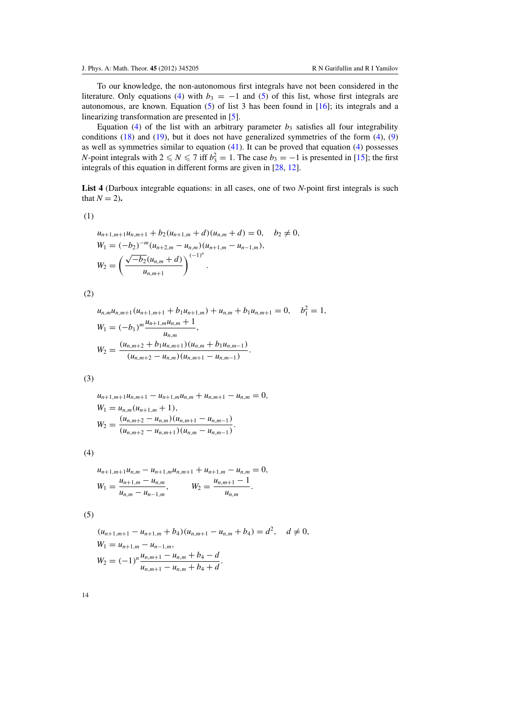To our knowledge, the non-autonomous first integrals have not been considered in the literature. Only equations [\(4\)](#page-2-0) with  $b_3 = -1$  and [\(5\)](#page-2-0) of this list, whose first integrals are autonomous, are known. Equation  $(5)$  of list 3 has been found in  $[16]$  $[16]$ ; its integrals and a linearizing transformation are presented in [\[5](#page-22-0)].

Equation [\(4\)](#page-2-0) of the list with an arbitrary parameter  $b_3$  satisfies all four integrability conditions  $(18)$  and  $(19)$ , but it does not have generalized symmetries of the form  $(4)$ ,  $(9)$ as well as symmetries similar to equation  $(41)$ . It can be proved that equation  $(4)$  possesses *N*-point integrals with  $2 \le N \le 7$  iff  $b_3^2 = 1$ . The case  $b_3 = -1$  is presented in [\[15\]](#page-23-0); the first integrals of this equation in different forms are given in [\[28,](#page-23-0) [12\]](#page-22-0).

**List 4** (Darboux integrable equations: in all cases, one of two *N*-point first integrals is such that  $N = 2$ ).

(1)

$$
u_{n+1,m+1}u_{n,m+1} + b_2(u_{n+1,m} + d)(u_{n,m} + d) = 0, \quad b_2 \neq 0,
$$
  
\n
$$
W_1 = (-b_2)^{-m} (u_{n+2,m} - u_{n,m})(u_{n+1,m} - u_{n-1,m}),
$$
  
\n
$$
W_2 = \left(\frac{\sqrt{-b_2}(u_{n,m} + d)}{u_{n,m+1}}\right)^{(-1)^n}.
$$

(2)

$$
u_{n,m}u_{n,m+1}(u_{n+1,m+1} + b_1u_{n+1,m}) + u_{n,m} + b_1u_{n,m+1} = 0, \quad b_1^2 = 1,
$$
  
\n
$$
W_1 = (-b_1)^m \frac{u_{n+1,m}u_{n,m} + 1}{u_{n,m}},
$$
  
\n
$$
W_2 = \frac{(u_{n,m+2} + b_1u_{n,m+1})(u_{n,m} + b_1u_{n,m-1})}{(u_{n,m+2} - u_{n,m})(u_{n,m+1} - u_{n,m-1})}.
$$

(3)

$$
u_{n+1,m+1}u_{n,m+1} - u_{n+1,m}u_{n,m} + u_{n,m+1} - u_{n,m} = 0,
$$
  
\n
$$
W_1 = u_{n,m}(u_{n+1,m} + 1),
$$
  
\n
$$
W_2 = \frac{(u_{n,m+2} - u_{n,m})(u_{n,m+1} - u_{n,m-1})}{(u_{n,m+2} - u_{n,m+1})(u_{n,m} - u_{n,m-1})}.
$$

(4)

$$
u_{n+1,m+1}u_{n,m}-u_{n+1,m}u_{n,m+1}+u_{n+1,m}-u_{n,m}=0,
$$
  
\n
$$
W_1=\frac{u_{n+1,m}-u_{n,m}}{u_{n,m}-u_{n-1,m}},\qquad W_2=\frac{u_{n,m+1}-1}{u_{n,m}}.
$$

(5)

$$
(u_{n+1,m+1} - u_{n+1,m} + b_4)(u_{n,m+1} - u_{n,m} + b_4) = d^2, \quad d \neq 0,
$$
  
\n
$$
W_1 = u_{n+1,m} - u_{n-1,m},
$$
  
\n
$$
W_2 = (-1)^n \frac{u_{n,m+1} - u_{n,m} + b_4 - d}{u_{n,m+1} - u_{n,m} + b_4 + d}.
$$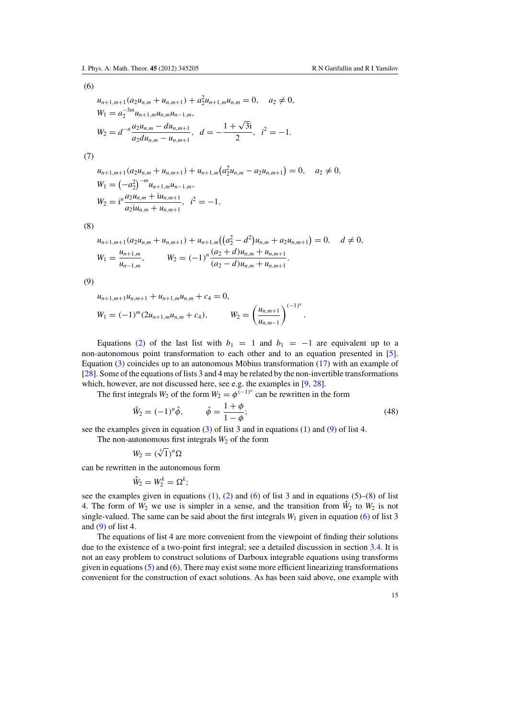<span id="page-15-0"></span>(6)

$$
u_{n+1,m+1}(a_2u_{n,m} + u_{n,m+1}) + a_2^2u_{n+1,m}u_{n,m} = 0, \quad a_2 \neq 0,
$$
  
\n
$$
W_1 = a_2^{-3m}u_{n+1,m}u_{n,m}u_{n-1,m},
$$
  
\n
$$
W_2 = d^{-n}\frac{a_2u_{n,m} - du_{n,m+1}}{a_2du_{n,m} - u_{n,m+1}}, \quad d = -\frac{1+\sqrt{3}i}{2}, \quad i^2 = -1.
$$

(7)

$$
u_{n+1,m+1}(a_2u_{n,m} + u_{n,m+1}) + u_{n+1,m}(a_2^2u_{n,m} - a_2u_{n,m+1}) = 0, \quad a_2 \neq 0,
$$
  
\n
$$
W_1 = (-a_2^2)^{-m}u_{n+1,m}u_{n-1,m},
$$
  
\n
$$
W_2 = i^n \frac{a_2u_{n,m} + i u_{n,m+1}}{a_2 i u_{n,m} + u_{n,m+1}}, \quad i^2 = -1.
$$

(8)

$$
u_{n+1,m+1}(a_2u_{n,m}+u_{n,m+1})+u_{n+1,m}((a_2^2-d^2)u_{n,m}+a_2u_{n,m+1})=0, \quad d \neq 0,
$$
  

$$
W_1=\frac{u_{n+1,m}}{u_{n-1,m}}, \qquad W_2=(-1)^n\frac{(a_2+d)u_{n,m}+u_{n,m+1}}{(a_2-d)u_{n,m}+u_{n,m+1}}.
$$

(9)

$$
u_{n+1,m+1}u_{n,m+1} + u_{n+1,m}u_{n,m} + c_4 = 0,
$$
  
\n
$$
W_1 = (-1)^m (2u_{n+1,m}u_{n,m} + c_4), \qquad W_2 = \left(\frac{u_{n,m+1}}{u_{n,m-1}}\right)^{(-1)^n}
$$

Equations [\(2\)](#page-1-0) of the last list with  $b_1 = 1$  and  $b_1 = -1$  are equivalent up to a non-autonomous point transformation to each other and to an equation presented in [\[5\]](#page-22-0). Equation [\(3\)](#page-1-0) coincides up to an autonomous Möbius transformation ( $17$ ) with an example of [\[28](#page-23-0)]. Some of the equations of lists 3 and 4 may be related by the non-invertible transformations which, however, are not discussed here, see e.g. the examples in [\[9](#page-22-0), [28](#page-23-0)].

The first integrals  $W_2$  of the form  $W_2 = \phi^{(-1)^n}$  can be rewritten in the form

$$
\hat{W}_2 = (-1)^n \hat{\phi}, \qquad \hat{\phi} = \frac{1+\phi}{1-\phi};
$$
\n(48)

.

see the examples given in equation [\(3\)](#page-1-0) of list 3 and in equations [\(1\)](#page-1-0) and [\(9\)](#page-3-0) of list 4.

The non-autonomous first integrals  $W_2$  of the form

$$
W_2=(\sqrt[k]{1})^n\Omega
$$

can be rewritten in the autonomous form

$$
\hat{W}_2 = W_2^k = \Omega^k;
$$

see the examples given in equations  $(1)$ ,  $(2)$  and  $(6)$  of list 3 and in equations  $(5)$ – $(8)$  of list 4. The form of  $W_2$  we use is simpler in a sense, and the transition from  $\tilde{W}_2$  to  $W_2$  is not single-valued. The same can be said about the first integrals  $W_1$  given in equation [\(6\)](#page-2-0) of list 3 and  $(9)$  of list 4.

The equations of list 4 are more convenient from the viewpoint of finding their solutions due to the existence of a two-point first integral; see a detailed discussion in section [3.4.](#page-16-0) It is not an easy problem to construct solutions of Darboux integrable equations using transforms given in equations  $(5)$  and  $(6)$ . There may exist some more efficient linearizing transformations convenient for the construction of exact solutions. As has been said above, one example with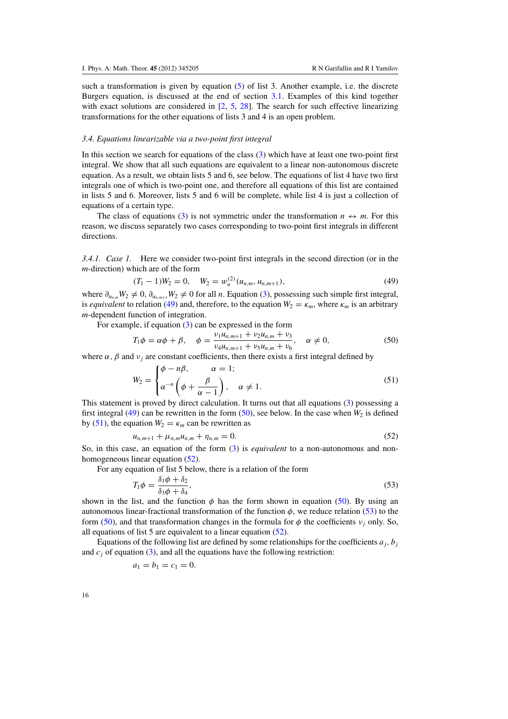<span id="page-16-0"></span>such a transformation is given by equation [\(5\)](#page-2-0) of list 3. Another example, i.e. the discrete Burgers equation, is discussed at the end of section [3.1.](#page-8-0) Examples of this kind together with exact solutions are considered in  $[2, 5, 28]$  $[2, 5, 28]$  $[2, 5, 28]$  $[2, 5, 28]$  $[2, 5, 28]$  $[2, 5, 28]$ . The search for such effective linearizing transformations for the other equations of lists 3 and 4 is an open problem.

## *3.4. Equations linearizable via a two-point first integral*

In this section we search for equations of the class [\(3\)](#page-1-0) which have at least one two-point first integral. We show that all such equations are equivalent to a linear non-autonomous discrete equation. As a result, we obtain lists 5 and 6, see below. The equations of list 4 have two first integrals one of which is two-point one, and therefore all equations of this list are contained in lists 5 and 6. Moreover, lists 5 and 6 will be complete, while list 4 is just a collection of equations of a certain type.

The class of equations [\(3\)](#page-1-0) is not symmetric under the transformation  $n \leftrightarrow m$ . For this reason, we discuss separately two cases corresponding to two-point first integrals in different directions.

*3.4.1. Case 1.* Here we consider two-point first integrals in the second direction (or in the *m*-direction) which are of the form

$$
(T_1 - 1)W_2 = 0, \quad W_2 = w_n^{(2)}(u_{n,m}, u_{n,m+1}), \tag{49}
$$

where  $\partial_{u_n,m}W_2 \neq 0$ ,  $\partial_{u_n,m+1}W_2 \neq 0$  for all *n*. Equation [\(3\)](#page-1-0), possessing such simple first integral, is *equivalent* to relation (49) and, therefore, to the equation  $W_2 = \kappa_m$ , where  $\kappa_m$  is an arbitrary *m*-dependent function of integration.

For example, if equation [\(3\)](#page-1-0) can be expressed in the form

$$
T_1 \phi = \alpha \phi + \beta, \quad \phi = \frac{\nu_1 u_{n,m+1} + \nu_2 u_{n,m} + \nu_3}{\nu_4 u_{n,m+1} + \nu_5 u_{n,m} + \nu_6}, \quad \alpha \neq 0,
$$
\n(50)

where  $\alpha$ ,  $\beta$  and  $\nu$ <sub>*i*</sub> are constant coefficients, then there exists a first integral defined by

$$
W_2 = \begin{cases} \phi - n\beta, & \alpha = 1; \\ \alpha^{-n} \left( \phi + \frac{\beta}{\alpha - 1} \right), & \alpha \neq 1. \end{cases}
$$
 (51)

This statement is proved by direct calculation. It turns out that all equations [\(3\)](#page-1-0) possessing a first integral (49) can be rewritten in the form  $(50)$ , see below. In the case when  $W_2$  is defined by (51), the equation  $W_2 = \kappa_m$  can be rewritten as

$$
u_{n,m+1} + \mu_{n,m} u_{n,m} + \eta_{n,m} = 0. \tag{52}
$$

So, in this case, an equation of the form [\(3\)](#page-1-0) is *equivalent* to a non-autonomous and nonhomogeneous linear equation (52).

For any equation of list 5 below, there is a relation of the form

$$
T_1 \phi = \frac{\delta_1 \phi + \delta_2}{\delta_3 \phi + \delta_4},\tag{53}
$$

shown in the list, and the function  $\phi$  has the form shown in equation (50). By using an autonomous linear-fractional transformation of the function  $\phi$ , we reduce relation (53) to the form (50), and that transformation changes in the formula for  $\phi$  the coefficients  $v_i$  only. So, all equations of list 5 are equivalent to a linear equation (52).

Equations of the following list are defined by some relationships for the coefficients  $a_i$ ,  $b_j$ and  $c_j$  of equation [\(3\)](#page-1-0), and all the equations have the following restriction:

$$
a_1 = b_1 = c_1 = 0.
$$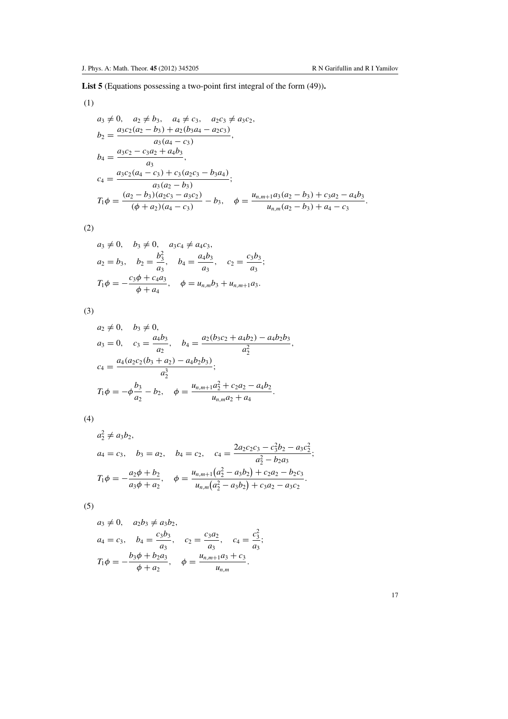**List 5** (Equations possessing a two-point first integral of the form (49))**.**

(1)

$$
a_3 \neq 0, \quad a_2 \neq b_3, \quad a_4 \neq c_3, \quad a_2c_3 \neq a_3c_2,
$$
  
\n
$$
b_2 = \frac{a_3c_2(a_2 - b_3) + a_2(b_3a_4 - a_2c_3)}{a_3(a_4 - c_3)},
$$
  
\n
$$
b_4 = \frac{a_3c_2 - c_3a_2 + a_4b_3}{a_3},
$$
  
\n
$$
c_4 = \frac{a_3c_2(a_4 - c_3) + c_3(a_2c_3 - b_3a_4)}{a_3(a_2 - b_3)},
$$
  
\n
$$
T_1\phi = \frac{(a_2 - b_3)(a_2c_3 - a_3c_2)}{(\phi + a_2)(a_4 - c_3)} - b_3, \quad \phi = \frac{u_{n,m+1}a_3(a_2 - b_3) + c_3a_2 - a_4b_3}{u_{n,m}(a_2 - b_3) + a_4 - c_3}.
$$

(2)

$$
a_3 \neq 0
$$
,  $b_3 \neq 0$ ,  $a_3c_4 \neq a_4c_3$ ,  
\n $a_2 = b_3$ ,  $b_2 = \frac{b_3^2}{a_3}$ ,  $b_4 = \frac{a_4b_3}{a_3}$ ,  $c_2 = \frac{c_3b_3}{a_3}$ ;  
\n $T_1 \phi = -\frac{c_3 \phi + c_4 a_3}{\phi + a_4}$ ,  $\phi = u_{n,m}b_3 + u_{n,m+1}a_3$ .

(3)

$$
a_2 \neq 0, \quad b_3 \neq 0,
$$
  
\n
$$
a_3 = 0, \quad c_3 = \frac{a_4 b_3}{a_2}, \quad b_4 = \frac{a_2 (b_3 c_2 + a_4 b_2) - a_4 b_2 b_3}{a_2^2},
$$
  
\n
$$
c_4 = \frac{a_4 (a_2 c_2 (b_3 + a_2) - a_4 b_2 b_3)}{a_2^3};
$$
  
\n
$$
T_1 \phi = -\phi \frac{b_3}{a_2} - b_2, \quad \phi = \frac{u_{n,m+1} a_2^2 + c_2 a_2 - a_4 b_2}{u_{n,m} a_2 + a_4}.
$$

(4)

$$
a_2^2 \neq a_3b_2,
$$
  
\n
$$
a_4 = c_3, \quad b_3 = a_2, \quad b_4 = c_2, \quad c_4 = \frac{2a_2c_2c_3 - c_3^2b_2 - a_3c_2^2}{a_2^2 - b_2a_3};
$$
  
\n
$$
T_1\phi = -\frac{a_2\phi + b_2}{a_3\phi + a_2}, \quad \phi = \frac{u_{n,m+1}(a_2^2 - a_3b_2) + c_2a_2 - b_2c_3}{u_{n,m}(a_2^2 - a_3b_2) + c_3a_2 - a_3c_2}.
$$

(5)

$$
a_3 \neq 0
$$
,  $a_2b_3 \neq a_3b_2$ ,  
\n $a_4 = c_3$ ,  $b_4 = \frac{c_3b_3}{a_3}$ ,  $c_2 = \frac{c_3a_2}{a_3}$ ,  $c_4 = \frac{c_3^2}{a_3}$ ;  
\n $T_1\phi = -\frac{b_3\phi + b_2a_3}{\phi + a_2}$ ,  $\phi = \frac{u_{n,m+1}a_3 + c_3}{u_{n,m}}$ .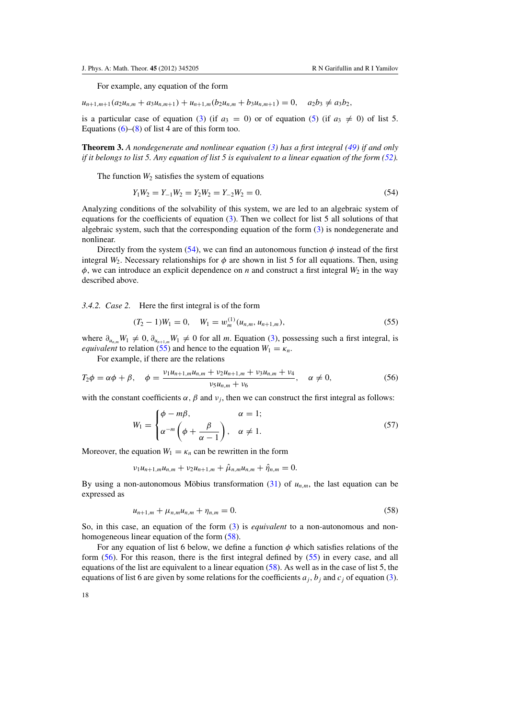<span id="page-18-0"></span>For example, any equation of the form

 $u_{n+1,m+1}(a_2u_{n,m} + a_3u_{n,m+1}) + u_{n+1,m}(b_2u_{n,m} + b_3u_{n,m+1}) = 0, \quad a_2b_3 \neq a_3b_2,$ 

is a particular case of equation [\(3\)](#page-1-0) (if  $a_3 = 0$ ) or of equation [\(5\)](#page-2-0) (if  $a_3 \neq 0$ ) of list 5. Equations  $(6)$ – $(8)$  of list 4 are of this form too.

**Theorem 3.** *A nondegenerate and nonlinear equation [\(3\)](#page-1-0) has a first integral [\(49\)](#page-16-0) if and only if it belongs to list 5. Any equation of list 5 is equivalent to a linear equation of the form [\(52\)](#page-16-0).*

The function  $W_2$  satisfies the system of equations

$$
Y_1 W_2 = Y_{-1} W_2 = Y_2 W_2 = Y_{-2} W_2 = 0.
$$
\n<sup>(54)</sup>

Analyzing conditions of the solvability of this system, we are led to an algebraic system of equations for the coefficients of equation [\(3\)](#page-1-0). Then we collect for list 5 all solutions of that algebraic system, such that the corresponding equation of the form [\(3\)](#page-1-0) is nondegenerate and nonlinear.

Directly from the system (54), we can find an autonomous function  $\phi$  instead of the first integral  $W_2$ . Necessary relationships for  $\phi$  are shown in list 5 for all equations. Then, using  $\phi$ , we can introduce an explicit dependence on *n* and construct a first integral  $W_2$  in the way described above.

*3.4.2. Case 2.* Here the first integral is of the form

$$
(T_2 - 1)W_1 = 0, \quad W_1 = w_m^{(1)}(u_{n,m}, u_{n+1,m}), \tag{55}
$$

where  $\partial_{u_{n,m}}W_1 \neq 0$ ,  $\partial_{u_{n+1,m}}W_1 \neq 0$  for all *m*. Equation [\(3\)](#page-1-0), possessing such a first integral, is *equivalent* to relation (55) and hence to the equation  $W_1 = \kappa_n$ .

For example, if there are the relations

$$
T_2\phi = \alpha\phi + \beta, \quad \phi = \frac{\nu_1 u_{n+1,m} u_{n,m} + \nu_2 u_{n+1,m} + \nu_3 u_{n,m} + \nu_4}{\nu_5 u_{n,m} + \nu_6}, \quad \alpha \neq 0,
$$
\n(56)

with the constant coefficients  $\alpha$ ,  $\beta$  and  $\nu$ *<sub>i</sub>*, then we can construct the first integral as follows:

$$
W_1 = \begin{cases} \phi - m\beta, & \alpha = 1; \\ \alpha^{-m} \left( \phi + \frac{\beta}{\alpha - 1} \right), & \alpha \neq 1. \end{cases}
$$
 (57)

Moreover, the equation  $W_1 = \kappa_n$  can be rewritten in the form

 $v_1u_{n+1,m}u_{n,m} + v_2u_{n+1,m} + \hat{\mu}_{n,m}u_{n,m} + \hat{\eta}_{n,m} = 0.$ 

By using a non-autonomous Möbius transformation  $(31)$  $(31)$  of  $u_{n,m}$ , the last equation can be expressed as

$$
u_{n+1,m} + \mu_{n,m} u_{n,m} + \eta_{n,m} = 0. \tag{58}
$$

So, in this case, an equation of the form [\(3\)](#page-1-0) is *equivalent* to a non-autonomous and nonhomogeneous linear equation of the form (58).

For any equation of list 6 below, we define a function  $\phi$  which satisfies relations of the form (56). For this reason, there is the first integral defined by (55) in every case, and all equations of the list are equivalent to a linear equation  $(58)$ . As well as in the case of list 5, the equations of list 6 are given by some relations for the coefficients  $a_j$ ,  $b_j$  and  $c_j$  of equation [\(3\)](#page-1-0).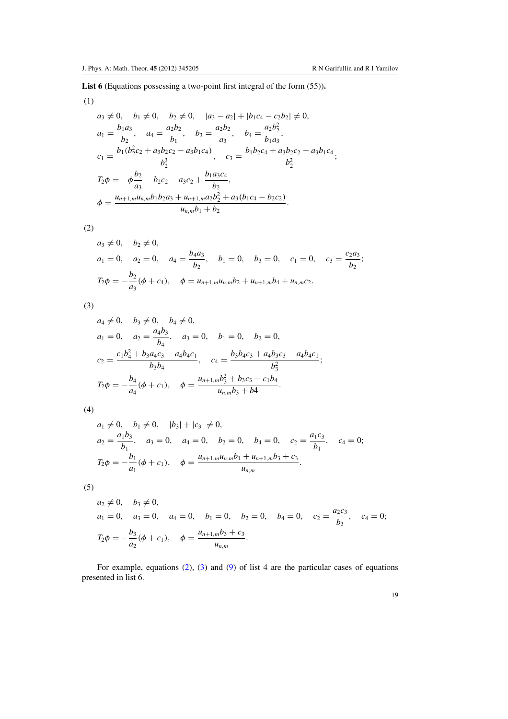**List 6** (Equations possessing a two-point first integral of the form (55))**.**

(1)

$$
a_3 \neq 0, \quad b_1 \neq 0, \quad b_2 \neq 0, \quad |a_3 - a_2| + |b_1c_4 - c_2b_2| \neq 0,
$$
  
\n
$$
a_1 = \frac{b_1a_3}{b_2}, \quad a_4 = \frac{a_2b_2}{b_1}, \quad b_3 = \frac{a_2b_2}{a_3}, \quad b_4 = \frac{a_2b_2^2}{b_1a_3},
$$
  
\n
$$
c_1 = \frac{b_1(b_2^2c_2 + a_3b_2c_2 - a_3b_1c_4)}{b_2^3}, \quad c_3 = \frac{b_1b_2c_4 + a_3b_2c_2 - a_3b_1c_4}{b_2^2};
$$
  
\n
$$
T_2\phi = -\phi\frac{b_2}{a_3} - b_2c_2 - a_3c_2 + \frac{b_1a_3c_4}{b_2},
$$
  
\n
$$
\phi = \frac{u_{n+1,m}u_{n,m}b_1b_2a_3 + u_{n+1,m}a_2b_2^2 + a_3(b_1c_4 - b_2c_2)}{u_{n,m}b_1 + b_2}.
$$

(2)

$$
a_3 \neq 0
$$
,  $b_2 \neq 0$ ,  
\n $a_1 = 0$ ,  $a_2 = 0$ ,  $a_4 = \frac{b_4 a_3}{b_2}$ ,  $b_1 = 0$ ,  $b_3 = 0$ ,  $c_1 = 0$ ,  $c_3 = \frac{c_2 a_3}{b_2}$ ;  
\n $T_2 \phi = -\frac{b_2}{a_3} (\phi + c_4)$ ,  $\phi = u_{n+1,m} u_{n,m} b_2 + u_{n+1,m} b_4 + u_{n,m} c_2$ .

(3)

$$
a_4 \neq 0, \quad b_3 \neq 0, \quad b_4 \neq 0,
$$
  
\n
$$
a_1 = 0, \quad a_2 = \frac{a_4 b_3}{b_4}, \quad a_3 = 0, \quad b_1 = 0, \quad b_2 = 0,
$$
  
\n
$$
c_2 = \frac{c_1 b_4^2 + b_3 a_4 c_3 - a_4 b_4 c_1}{b_3 b_4}, \quad c_4 = \frac{b_3 b_4 c_3 + a_4 b_3 c_3 - a_4 b_4 c_1}{b_3^2};
$$
  
\n
$$
T_2 \phi = -\frac{b_4}{a_4} (\phi + c_1), \quad \phi = \frac{u_{n+1,m} b_3^2 + b_3 c_3 - c_1 b_4}{u_{n,m} b_3 + b_4}.
$$

(4)

$$
a_1 \neq 0, \quad b_1 \neq 0, \quad |b_3| + |c_3| \neq 0,
$$
  
\n
$$
a_2 = \frac{a_1 b_3}{b_1}, \quad a_3 = 0, \quad a_4 = 0, \quad b_2 = 0, \quad b_4 = 0, \quad c_2 = \frac{a_1 c_3}{b_1}, \quad c_4 = 0;
$$
  
\n
$$
T_2 \phi = -\frac{b_1}{a_1} (\phi + c_1), \quad \phi = \frac{u_{n+1, m} u_{n, m} b_1 + u_{n+1, m} b_3 + c_3}{u_{n, m}}.
$$

(5)

$$
a_2 \neq 0
$$
,  $b_3 \neq 0$ ,  
\n $a_1 = 0$ ,  $a_3 = 0$ ,  $a_4 = 0$ ,  $b_1 = 0$ ,  $b_2 = 0$ ,  $b_4 = 0$ ,  $c_2 = \frac{a_2 c_3}{b_3}$ ,  $c_4 = 0$ ;  
\n $T_2 \phi = -\frac{b_3}{a_2} (\phi + c_1)$ ,  $\phi = \frac{u_{n+1,m} b_3 + c_3}{u_{n,m}}$ .

For example, equations [\(2\)](#page-1-0), [\(3\)](#page-1-0) and [\(9\)](#page-3-0) of list 4 are the particular cases of equations presented in list 6.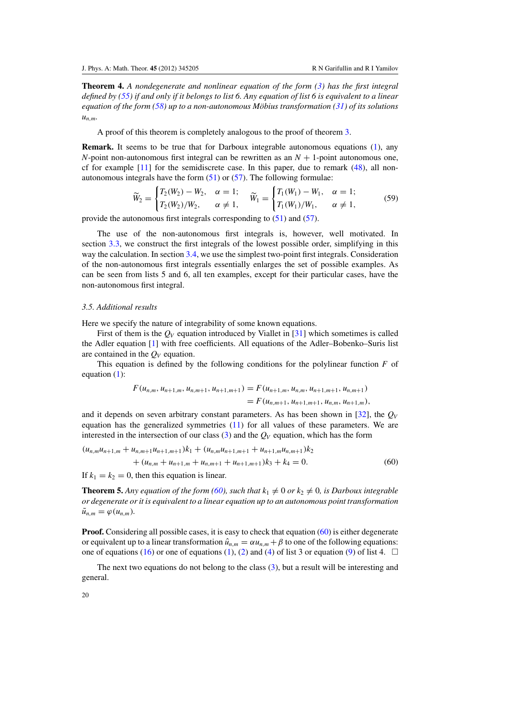<span id="page-20-0"></span>**Theorem 4.** *A nondegenerate and nonlinear equation of the form [\(3\)](#page-1-0) has the first integral defined by [\(55\)](#page-18-0) if and only if it belongs to list 6. Any equation of list 6 is equivalent to a linear equation of the form [\(58\)](#page-18-0) up to a non-autonomous Mobius transformation ( ¨ [31\)](#page-9-0) of its solutions un*,*m.*

A proof of this theorem is completely analogous to the proof of theorem [3.](#page-18-0)

**Remark.** It seems to be true that for Darboux integrable autonomous equations [\(1\)](#page-1-0), any *N*-point non-autonomous first integral can be rewritten as an  $N + 1$ -point autonomous one, cf for example  $[11]$  $[11]$  for the semidiscrete case. In this paper, due to remark  $(48)$ , all nonautonomous integrals have the form  $(51)$  or  $(57)$ . The following formulae:

$$
\widetilde{W}_2 = \begin{cases} T_2(W_2) - W_2, & \alpha = 1; \\ T_2(W_2)/W_2, & \alpha \neq 1, \end{cases} \quad \widetilde{W}_1 = \begin{cases} T_1(W_1) - W_1, & \alpha = 1; \\ T_1(W_1)/W_1, & \alpha \neq 1, \end{cases}
$$
\n(59)

provide the autonomous first integrals corresponding to [\(51\)](#page-16-0) and [\(57\)](#page-18-0).

The use of the non-autonomous first integrals is, however, well motivated. In section [3.3,](#page-12-0) we construct the first integrals of the lowest possible order, simplifying in this way the calculation. In section [3.4,](#page-16-0) we use the simplest two-point first integrals. Consideration of the non-autonomous first integrals essentially enlarges the set of possible examples. As can be seen from lists 5 and 6, all ten examples, except for their particular cases, have the non-autonomous first integral.

# *3.5. Additional results*

Here we specify the nature of integrability of some known equations.

First of them is the  $Q_V$  equation introduced by Viallet in [\[31](#page-23-0)] which sometimes is called the Adler equation [\[1](#page-22-0)] with free coefficients. All equations of the Adler–Bobenko–Suris list are contained in the  $Q_V$  equation.

This equation is defined by the following conditions for the polylinear function *F* of equation [\(1\)](#page-1-0):

$$
F(u_{n,m}, u_{n+1,m}, u_{n,m+1}, u_{n+1,m+1}) = F(u_{n+1,m}, u_{n,m}, u_{n+1,m+1}, u_{n,m+1})
$$
  
=  $F(u_{n,m+1}, u_{n+1,m+1}, u_{n,m}, u_{n+1,m}),$ 

and it depends on seven arbitrary constant parameters. As has been shown in [\[32](#page-23-0)], the  $Q_V$ equation has the generalized symmetries [\(11\)](#page-3-0) for all values of these parameters. We are interested in the intersection of our class  $(3)$  and the  $Q_V$  equation, which has the form

$$
(u_{n,m}u_{n+1,m} + u_{n,m+1}u_{n+1,m+1})k_1 + (u_{n,m}u_{n+1,m+1} + u_{n+1,m}u_{n,m+1})k_2
$$
  
+ 
$$
(u_{n,m} + u_{n+1,m} + u_{n,m+1} + u_{n+1,m+1})k_3 + k_4 = 0.
$$
 (60)

If  $k_1 = k_2 = 0$ , then this equation is linear.

**Theorem 5.** Any equation of the form (60), such that  $k_1 \neq 0$  or  $k_2 \neq 0$ , is Darboux integrable *or degenerate or it is equivalent to a linear equation up to an autonomous point transformation*  $\tilde{u}_{n,m} = \varphi(u_{n,m}).$ 

**Proof.** Considering all possible cases, it is easy to check that equation (60) is either degenerate or equivalent up to a linear transformation  $\hat{u}_{n,m} = \alpha u_{n,m} + \beta$  to one of the following equations: one of equations [\(16\)](#page-4-0) or one of equations [\(1\)](#page-1-0), [\(2\)](#page-1-0) and [\(4\)](#page-2-0) of list 3 or equation [\(9\)](#page-3-0) of list 4.  $\Box$ 

The next two equations do not belong to the class [\(3\)](#page-1-0), but a result will be interesting and general.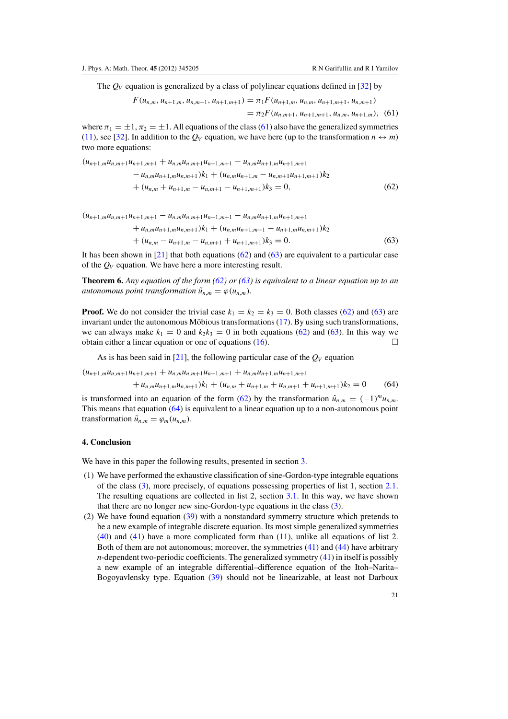The  $Q_V$  equation is generalized by a class of polylinear equations defined in [\[32](#page-23-0)] by

$$
F(u_{n,m}, u_{n+1,m}, u_{n,m+1}, u_{n+1,m+1}) = \pi_1 F(u_{n+1,m}, u_{n,m}, u_{n+1,m+1}, u_{n,m+1})
$$
  
=  $\pi_2 F(u_{n,m+1}, u_{n+1,m+1}, u_{n,m}, u_{n+1,m}),$  (61)

where  $\pi_1 = \pm 1$ ,  $\pi_2 = \pm 1$ . All equations of the class (61) also have the generalized symmetries [\(11\)](#page-3-0), see [\[32\]](#page-23-0). In addition to the  $Q_V$  equation, we have here (up to the transformation  $n \leftrightarrow m$ ) two more equations:

 $(u_{n+1,m}u_{n,m+1}u_{n+1,m+1} + u_{n,m}u_{n,m+1}u_{n+1,m+1} - u_{n,m}u_{n+1,m}u_{n+1,m+1}$ 

$$
-u_{n,m}u_{n+1,m}u_{n,m+1}k_1 + (u_{n,m}u_{n+1,m} - u_{n,m+1}u_{n+1,m+1})k_2
$$
  
+ 
$$
(u_{n,m} + u_{n+1,m} - u_{n,m+1} - u_{n+1,m+1})k_3 = 0,
$$
 (62)

 $(u_{n+1,m}u_{n,m+1}u_{n+1,m+1} - u_{n,m}u_{n,m+1}u_{n+1,m+1} - u_{n,m}u_{n+1,m}u_{n+1,m+1}$ 

+ 
$$
u_{n,m}u_{n+1,m}u_{n,m+1}
$$
 ) $k_1$  +  $(u_{n,m}u_{n+1,m+1} - u_{n+1,m}u_{n,m+1})k_2$   
+  $(u_{n,m} - u_{n+1,m} - u_{n,m+1} + u_{n+1,m+1})k_3 = 0.$  (63)

It has been shown in  $[21]$  that both equations (62) and (63) are equivalent to a particular case of the *QV* equation. We have here a more interesting result.

**Theorem 6.** *Any equation of the form (62) or (63) is equivalent to a linear equation up to an autonomous point transformation*  $\tilde{u}_{n,m} = \varphi(u_{n,m})$ *.* 

**Proof.** We do not consider the trivial case  $k_1 = k_2 = k_3 = 0$ . Both classes (62) and (63) are invariant under the autonomous Möbious transformations  $(17)$  $(17)$ . By using such transformations, we can always make  $k_1 = 0$  and  $k_2 k_3 = 0$  in both equations (62) and (63). In this way we obtain either a linear equation or one of equations  $(16)$ .

As is has been said in  $[21]$ , the following particular case of the  $Q_V$  equation

 $(u_{n+1,m}u_{n,m+1}u_{n+1,m+1} + u_{n,m}u_{n,m+1}u_{n+1,m+1} + u_{n,m}u_{n+1,m}u_{n+1,m+1}$ 

$$
+u_{n,m}u_{n+1,m}u_{n,m+1})k_1 + (u_{n,m} + u_{n+1,m} + u_{n,m+1} + u_{n+1,m+1})k_2 = 0 \t\t(64)
$$

is transformed into an equation of the form (62) by the transformation  $\hat{u}_{n,m} = (-1)^m u_{n,m}$ . This means that equation (64) is equivalent to a linear equation up to a non-autonomous point transformation  $\tilde{u}_{n,m} = \varphi_m(u_{n,m}).$ 

## **4. Conclusion**

We have in this paper the following results, presented in section [3.](#page-8-0)

- (1) We have performed the exhaustive classification of sine-Gordon-type integrable equations of the class [\(3\)](#page-1-0), more precisely, of equations possessing properties of list 1, section [2.1.](#page-2-0) The resulting equations are collected in list 2, section [3.1.](#page-8-0) In this way, we have shown that there are no longer new sine-Gordon-type equations in the class [\(3\)](#page-1-0).
- (2) We have found equation [\(39\)](#page-11-0) with a nonstandard symmetry structure which pretends to be a new example of integrable discrete equation. Its most simple generalized symmetries [\(40\)](#page-11-0) and [\(41\)](#page-11-0) have a more complicated form than [\(11\)](#page-3-0), unlike all equations of list 2. Both of them are not autonomous; moreover, the symmetries [\(41\)](#page-11-0) and [\(44\)](#page-12-0) have arbitrary *n*-dependent two-periodic coefficients. The generalized symmetry [\(41\)](#page-11-0) in itself is possibly a new example of an integrable differential–difference equation of the Itoh–Narita– Bogoyavlensky type. Equation [\(39\)](#page-11-0) should not be linearizable, at least not Darboux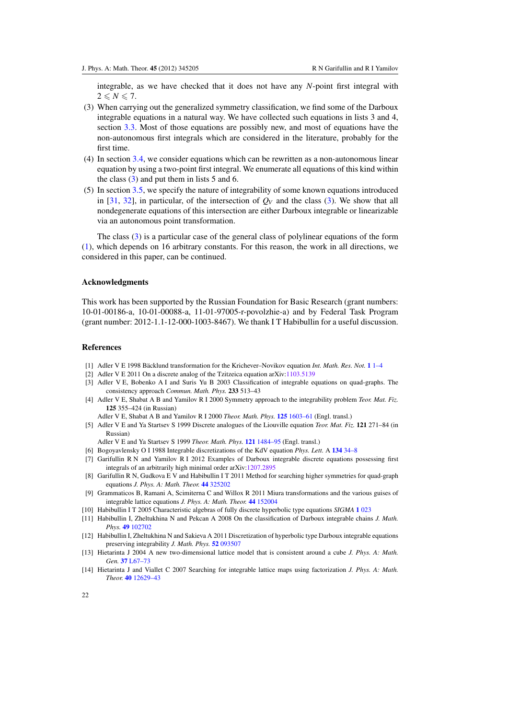<span id="page-22-0"></span>integrable, as we have checked that it does not have any *N*-point first integral with  $2 \leq N \leq 7$ .

- (3) When carrying out the generalized symmetry classification, we find some of the Darboux integrable equations in a natural way. We have collected such equations in lists 3 and 4, section [3.3.](#page-12-0) Most of those equations are possibly new, and most of equations have the non-autonomous first integrals which are considered in the literature, probably for the first time.
- (4) In section [3.4,](#page-16-0) we consider equations which can be rewritten as a non-autonomous linear equation by using a two-point first integral. We enumerate all equations of this kind within the class [\(3\)](#page-1-0) and put them in lists 5 and 6.
- (5) In section [3.5,](#page-20-0) we specify the nature of integrability of some known equations introduced in [\[31](#page-23-0), [32](#page-23-0)], in particular, of the intersection of  $Q_V$  and the class [\(3\)](#page-1-0). We show that all nondegenerate equations of this intersection are either Darboux integrable or linearizable via an autonomous point transformation.

The class [\(3\)](#page-1-0) is a particular case of the general class of polylinear equations of the form [\(1\)](#page-1-0), which depends on 16 arbitrary constants. For this reason, the work in all directions, we considered in this paper, can be continued.

#### **Acknowledgments**

This work has been supported by the Russian Foundation for Basic Research (grant numbers: 10-01-00186-a, 10-01-00088-a, 11-01-97005-r-povolzhie-a) and by Federal Task Program (grant number: 2012-1.1-12-000-1003-8467). We thank I T Habibullin for a useful discussion.

# **References**

- [1] Adler V E 1998 Bäcklund transformation for the Krichever–Novikov equation *Int. Math. Res. Not.* **1** [1–4](http://dx.doi.org/10.1155/S1073792898000014)
- [2] Adler V E 2011 On a discrete analog of the Tzitzeica equation arXiv[:1103.5139](http://arxiv.org/abs/1103.5139)
- [3] Adler V E, Bobenko A I and Suris Yu B 2003 Classification of integrable equations on quad-graphs. The consistency approach *Commun. Math. Phys.* **233** 513–43
- [4] Adler V E, Shabat A B and Yamilov R I 2000 Symmetry approach to the integrability problem *Teor. Mat. Fiz.* **125** 355–424 (in Russian)
	- Adler V E, Shabat A B and Yamilov R I 2000 *Theor. Math. Phys.* **125** [1603–61](http://dx.doi.org/10.1023/A:1026602012111) (Engl. transl.)
- [5] Adler V E and Ya Startsev S 1999 Discrete analogues of the Liouville equation *Teor. Mat. Fiz.* **121** 271–84 (in Russian)
	- Adler V E and Ya Startsev S 1999 *Theor. Math. Phys.* **121** [1484–95](http://dx.doi.org/10.1007/BF02557219) (Engl. transl.)
- [6] Bogoyavlensky O I 1988 Integrable discretizations of the KdV equation *Phys. Lett.* A **134** [34–8](http://dx.doi.org/10.1016/0375-9601(88)90542-7)
- [7] Garifullin R N and Yamilov R I 2012 Examples of Darboux integrable discrete equations possessing first integrals of an arbitrarily high minimal order arXiv[:1207.2895](http://arxiv.org/abs/1207.2895)
- [8] Garifullin R N, Gudkova E V and Habibullin I T 2011 Method for searching higher symmetries for quad-graph equations *J. Phys. A: Math. Theor.* **44** [325202](http://dx.doi.org/10.1088/1751-8113/44/32/325202)
- [9] Grammaticos B, Ramani A, Scimiterna C and Willox R 2011 Miura transformations and the various guises of integrable lattice equations *J. Phys. A: Math. Theor.* **44** [152004](http://dx.doi.org/10.1088/1751-8113/44/15/152004)
- [10] Habibullin I T 2005 Characteristic algebras of fully discrete hyperbolic type equations *SIGMA* **1** [023](http://dx.doi.org/10.3842/SIGMA.2005.023)
- [11] Habibullin I, Zheltukhina N and Pekcan A 2008 On the classification of Darboux integrable chains *J. Math. Phys.* **49** [102702](http://dx.doi.org/10.1063/1.2992950)
- [12] Habibullin I, Zheltukhina N and Sakieva A 2011 Discretization of hyperbolic type Darboux integrable equations preserving integrability *J. Math. Phys.* **52** [093507](http://dx.doi.org/10.1063/1.3628587)
- [13] Hietarinta J 2004 A new two-dimensional lattice model that is consistent around a cube *J. Phys. A: Math. Gen.* **37** [L67–73](http://dx.doi.org/10.1088/0305-4470/37/6/L01)
- [14] Hietarinta J and Viallet C 2007 Searching for integrable lattice maps using factorization *J. Phys. A: Math. Theor.* **40** [12629–43](http://dx.doi.org/10.1088/1751-8113/40/42/S09)